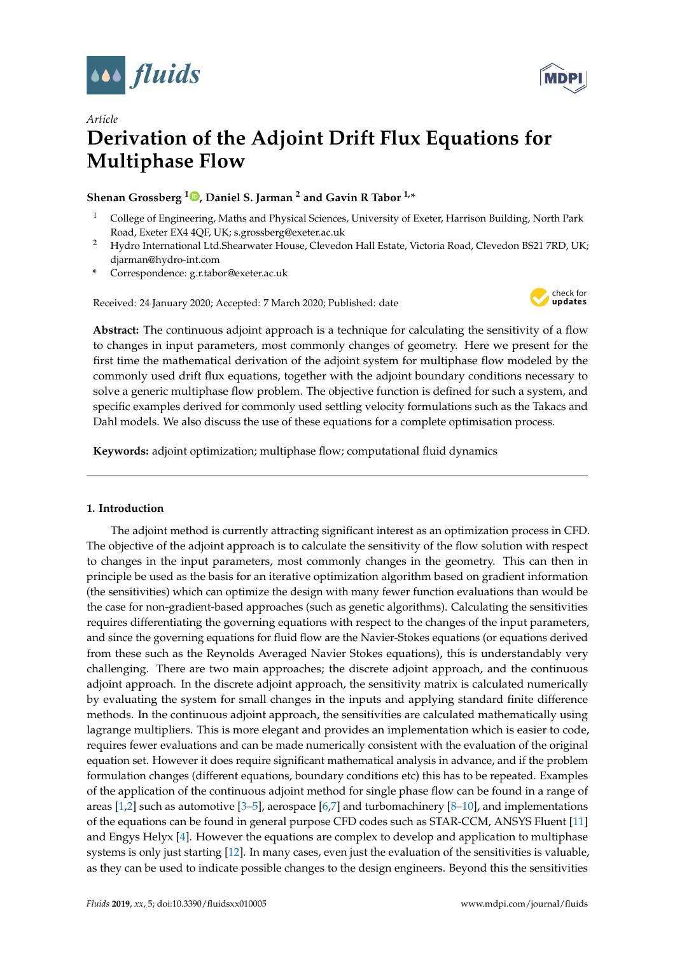



# *Article* **Derivation of the Adjoint Drift Flux Equations for Multiphase Flow**

## **Shenan Grossberg <sup>1</sup> [,](https://orcid.org/0000-0000-000-000X) Daniel S. Jarman <sup>2</sup> and Gavin R Tabor 1,\***

- <sup>1</sup> College of Engineering, Maths and Physical Sciences, University of Exeter, Harrison Building, North Park Road, Exeter EX4 4QF, UK; s.grossberg@exeter.ac.uk
- <sup>2</sup> Hydro International Ltd.Shearwater House, Clevedon Hall Estate, Victoria Road, Clevedon BS21 7RD, UK; djarman@hydro-int.com
- **\*** Correspondence: g.r.tabor@exeter.ac.uk

Received: 24 January 2020; Accepted: 7 March 2020; Published: date



**Abstract:** The continuous adjoint approach is a technique for calculating the sensitivity of a flow to changes in input parameters, most commonly changes of geometry. Here we present for the first time the mathematical derivation of the adjoint system for multiphase flow modeled by the commonly used drift flux equations, together with the adjoint boundary conditions necessary to solve a generic multiphase flow problem. The objective function is defined for such a system, and specific examples derived for commonly used settling velocity formulations such as the Takacs and Dahl models. We also discuss the use of these equations for a complete optimisation process.

**Keywords:** adjoint optimization; multiphase flow; computational fluid dynamics

## **1. Introduction**

The adjoint method is currently attracting significant interest as an optimization process in CFD. The objective of the adjoint approach is to calculate the sensitivity of the flow solution with respect to changes in the input parameters, most commonly changes in the geometry. This can then in principle be used as the basis for an iterative optimization algorithm based on gradient information (the sensitivities) which can optimize the design with many fewer function evaluations than would be the case for non-gradient-based approaches (such as genetic algorithms). Calculating the sensitivities requires differentiating the governing equations with respect to the changes of the input parameters, and since the governing equations for fluid flow are the Navier-Stokes equations (or equations derived from these such as the Reynolds Averaged Navier Stokes equations), this is understandably very challenging. There are two main approaches; the discrete adjoint approach, and the continuous adjoint approach. In the discrete adjoint approach, the sensitivity matrix is calculated numerically by evaluating the system for small changes in the inputs and applying standard finite difference methods. In the continuous adjoint approach, the sensitivities are calculated mathematically using lagrange multipliers. This is more elegant and provides an implementation which is easier to code, requires fewer evaluations and can be made numerically consistent with the evaluation of the original equation set. However it does require significant mathematical analysis in advance, and if the problem formulation changes (different equations, boundary conditions etc) this has to be repeated. Examples of the application of the continuous adjoint method for single phase flow can be found in a range of areas [\[1,](#page-19-0)[2\]](#page-19-1) such as automotive [\[3–](#page-19-2)[5\]](#page-19-3), aerospace [\[6](#page-19-4)[,7\]](#page-19-5) and turbomachinery [\[8–](#page-19-6)[10\]](#page-19-7), and implementations of the equations can be found in general purpose CFD codes such as STAR-CCM, ANSYS Fluent [\[11\]](#page-19-8) and Engys Helyx [\[4\]](#page-19-9). However the equations are complex to develop and application to multiphase systems is only just starting [\[12\]](#page-19-10). In many cases, even just the evaluation of the sensitivities is valuable, as they can be used to indicate possible changes to the design engineers. Beyond this the sensitivities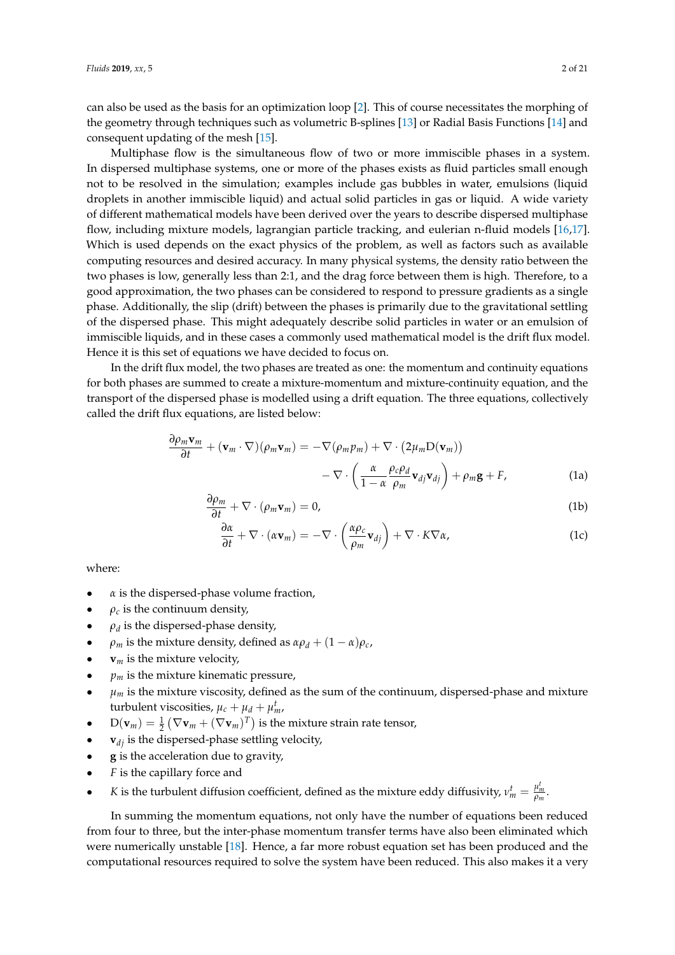can also be used as the basis for an optimization loop [\[2\]](#page-19-1). This of course necessitates the morphing of the geometry through techniques such as volumetric B-splines [\[13\]](#page-19-11) or Radial Basis Functions [\[14\]](#page-19-12) and consequent updating of the mesh [\[15\]](#page-19-13).

Multiphase flow is the simultaneous flow of two or more immiscible phases in a system. In dispersed multiphase systems, one or more of the phases exists as fluid particles small enough not to be resolved in the simulation; examples include gas bubbles in water, emulsions (liquid droplets in another immiscible liquid) and actual solid particles in gas or liquid. A wide variety of different mathematical models have been derived over the years to describe dispersed multiphase flow, including mixture models, lagrangian particle tracking, and eulerian n-fluid models [\[16,](#page-19-14)[17\]](#page-19-15). Which is used depends on the exact physics of the problem, as well as factors such as available computing resources and desired accuracy. In many physical systems, the density ratio between the two phases is low, generally less than 2:1, and the drag force between them is high. Therefore, to a good approximation, the two phases can be considered to respond to pressure gradients as a single phase. Additionally, the slip (drift) between the phases is primarily due to the gravitational settling of the dispersed phase. This might adequately describe solid particles in water or an emulsion of immiscible liquids, and in these cases a commonly used mathematical model is the drift flux model. Hence it is this set of equations we have decided to focus on.

In the drift flux model, the two phases are treated as one: the momentum and continuity equations for both phases are summed to create a mixture-momentum and mixture-continuity equation, and the transport of the dispersed phase is modelled using a drift equation. The three equations, collectively called the drift flux equations, are listed below:

$$
\frac{\partial \rho_m \mathbf{v}_m}{\partial t} + (\mathbf{v}_m \cdot \nabla)(\rho_m \mathbf{v}_m) = -\nabla(\rho_m p_m) + \nabla \cdot (2\mu_m \mathbf{D}(\mathbf{v}_m)) \n- \nabla \cdot \left(\frac{\alpha}{1-\alpha} \frac{\rho_c \rho_d}{\rho_m} \mathbf{v}_{dj} \mathbf{v}_{dj}\right) + \rho_m \mathbf{g} + F,
$$
\n(1a)

<span id="page-1-0"></span>
$$
\frac{\partial \rho_m}{\partial t} + \nabla \cdot (\rho_m \mathbf{v}_m) = 0, \tag{1b}
$$

$$
\frac{\partial \alpha}{\partial t} + \nabla \cdot (\alpha \mathbf{v}_m) = -\nabla \cdot \left(\frac{\alpha \rho_c}{\rho_m} \mathbf{v}_{dj}\right) + \nabla \cdot K \nabla \alpha,
$$
\n(1c)

where:

- $\alpha$  is the dispersed-phase volume fraction,
- $\rho_c$  is the continuum density,
- $\rho_d$  is the dispersed-phase density,
- $\rho_m$  is the mixture density, defined as  $\alpha \rho_d + (1 \alpha) \rho_c$ ,
- **is the mixture velocity,**
- $p_m$  is the mixture kinematic pressure,
- $\mu_m$  is the mixture viscosity, defined as the sum of the continuum, dispersed-phase and mixture turbulent viscosities,  $\mu_c + \mu_d + \mu_m^t$ ,
- $D(\mathbf{v}_m) = \frac{1}{2} (\nabla \mathbf{v}_m + (\nabla \mathbf{v}_m)^T)$  is the mixture strain rate tensor,
- **is the dispersed-phase settling velocity,**
- **g** is the acceleration due to gravity,
- *F* is the capillary force and
- *K* is the turbulent diffusion coefficient, defined as the mixture eddy diffusivity,  $v_m^t = \frac{\mu_m^t}{\rho_m}$ .

In summing the momentum equations, not only have the number of equations been reduced from four to three, but the inter-phase momentum transfer terms have also been eliminated which were numerically unstable [\[18\]](#page-19-16). Hence, a far more robust equation set has been produced and the computational resources required to solve the system have been reduced. This also makes it a very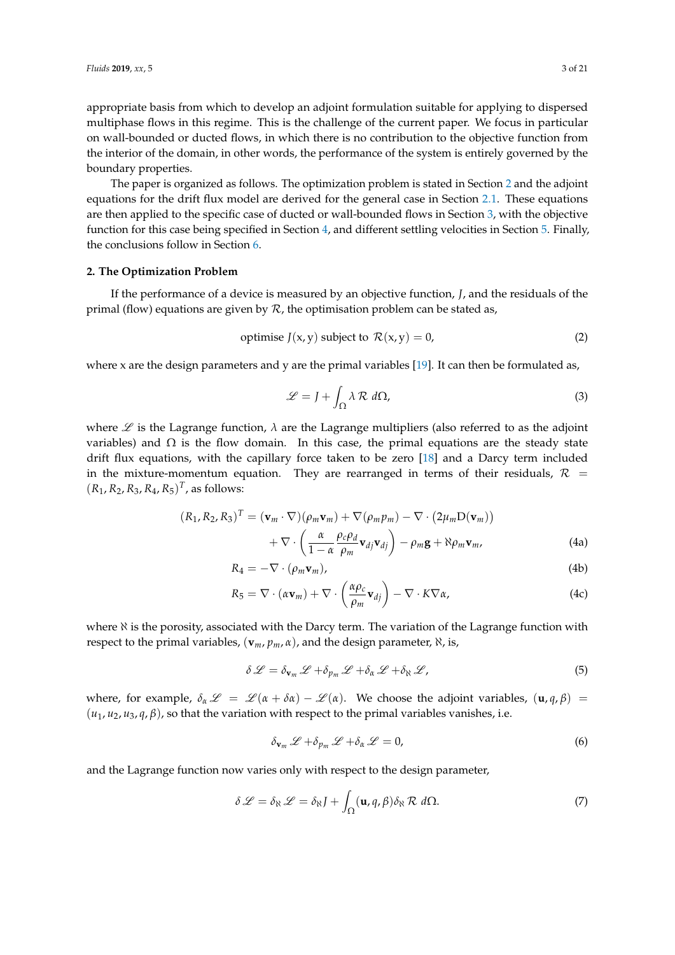appropriate basis from which to develop an adjoint formulation suitable for applying to dispersed multiphase flows in this regime. This is the challenge of the current paper. We focus in particular on wall-bounded or ducted flows, in which there is no contribution to the objective function from the interior of the domain, in other words, the performance of the system is entirely governed by the boundary properties.

The paper is organized as follows. The optimization problem is stated in Section [2](#page-2-0) and the adjoint equations for the drift flux model are derived for the general case in Section [2.1.](#page-3-0) These equations are then applied to the specific case of ducted or wall-bounded flows in Section [3,](#page-5-0) with the objective function for this case being specified in Section [4,](#page-10-0) and different settling velocities in Section [5.](#page-11-0) Finally, the conclusions follow in Section [6.](#page-12-0)

## <span id="page-2-0"></span>**2. The Optimization Problem**

If the performance of a device is measured by an objective function, *J*, and the residuals of the primal (flow) equations are given by  $R$ , the optimisation problem can be stated as,

<span id="page-2-4"></span>
$$
optimise J(x, y) subject to R(x, y) = 0,
$$
\n(2)

where x are the design parameters and y are the primal variables  $[19]$ . It can then be formulated as,

<span id="page-2-1"></span>
$$
\mathcal{L} = J + \int_{\Omega} \lambda \mathcal{R} \, d\Omega,\tag{3}
$$

where  $\mathscr L$  is the Lagrange function,  $\lambda$  are the Lagrange multipliers (also referred to as the adjoint variables) and  $Ω$  is the flow domain. In this case, the primal equations are the steady state drift flux equations, with the capillary force taken to be zero [\[18\]](#page-19-16) and a Darcy term included in the mixture-momentum equation. They are rearranged in terms of their residuals,  $\mathcal{R}$  =  $(R_1, R_2, R_3, R_4, R_5)^T$ , as follows:

<span id="page-2-5"></span>
$$
(R_1, R_2, R_3)^T = (\mathbf{v}_m \cdot \nabla)(\rho_m \mathbf{v}_m) + \nabla(\rho_m \rho_m) - \nabla \cdot (2\mu_m \mathbf{D}(\mathbf{v}_m))
$$

$$
+ \nabla \cdot \left(\frac{\alpha}{1 - \alpha} \frac{\rho_c \rho_d}{\rho_m} \mathbf{v}_{dj} \mathbf{v}_{dj}\right) - \rho_m \mathbf{g} + \aleph \rho_m \mathbf{v}_m, \tag{4a}
$$

$$
R_4 = -\nabla \cdot (\rho_m \mathbf{v}_m), \tag{4b}
$$

$$
R_5 = \nabla \cdot (\alpha \mathbf{v}_m) + \nabla \cdot \left(\frac{\alpha \rho_c}{\rho_m} \mathbf{v}_{dj}\right) - \nabla \cdot K \nabla \alpha, \tag{4c}
$$

where  $\aleph$  is the porosity, associated with the Darcy term. The variation of the Lagrange function with respect to the primal variables, (**v***m*, *pm*, *α*), and the design parameter, ℵ, is,

<span id="page-2-3"></span>
$$
\delta \mathcal{L} = \delta_{\mathbf{v}_m} \mathcal{L} + \delta_{p_m} \mathcal{L} + \delta_{\alpha} \mathcal{L} + \delta_{\aleph} \mathcal{L}, \tag{5}
$$

where, for example,  $\delta_{\alpha} \mathcal{L} = \mathcal{L} (\alpha + \delta \alpha) - \mathcal{L} (\alpha)$ . We choose the adjoint variables,  $(\mathbf{u}, q, \beta) =$  $(u_1, u_2, u_3, q, \beta)$ , so that the variation with respect to the primal variables vanishes, i.e.

<span id="page-2-2"></span>
$$
\delta_{\mathbf{v}_m} \mathcal{L} + \delta_{p_m} \mathcal{L} + \delta_{\alpha} \mathcal{L} = 0, \tag{6}
$$

and the Lagrange function now varies only with respect to the design parameter,

$$
\delta \mathcal{L} = \delta_{\aleph} \mathcal{L} = \delta_{\aleph} J + \int_{\Omega} (\mathbf{u}, q, \beta) \delta_{\aleph} \mathcal{R} d\Omega.
$$
 (7)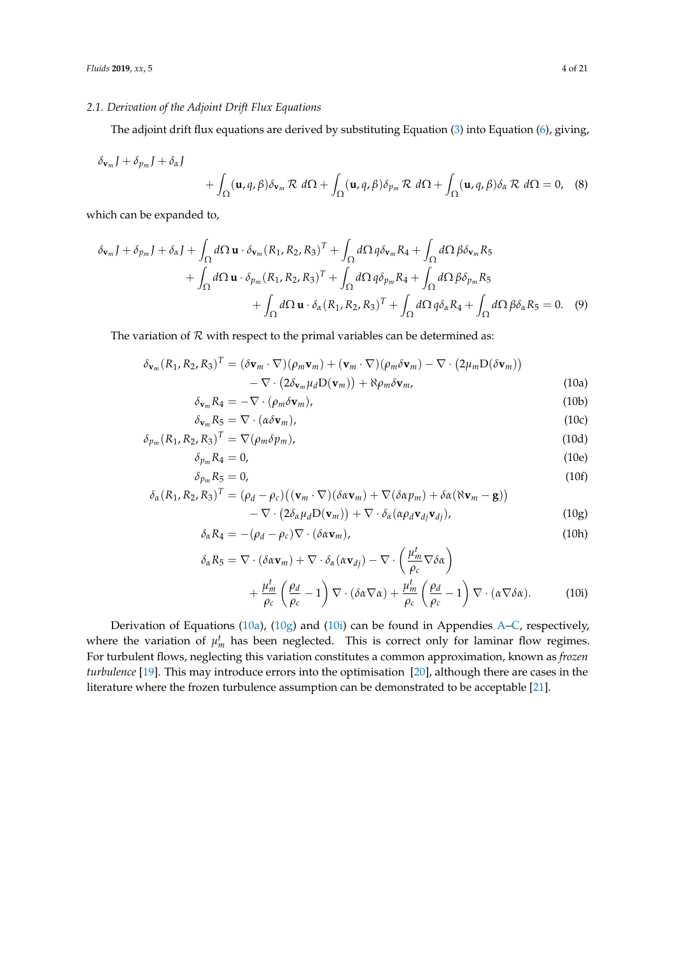## <span id="page-3-0"></span>*2.1. Derivation of the Adjoint Drift Flux Equations*

The adjoint drift flux equations are derived by substituting Equation [\(3\)](#page-2-1) into Equation [\(6\)](#page-2-2), giving,

$$
\delta_{\mathbf{v}_m} J + \delta_{p_m} J + \delta_{\alpha} J
$$
  
+  $\int_{\Omega} (\mathbf{u}, q, \beta) \delta_{\mathbf{v}_m} \mathcal{R} d\Omega + \int_{\Omega} (\mathbf{u}, q, \beta) \delta_{p_m} \mathcal{R} d\Omega + \int_{\Omega} (\mathbf{u}, q, \beta) \delta_{\alpha} \mathcal{R} d\Omega = 0,$  (8)

which can be expanded to,

$$
\delta_{\mathbf{v}_m} J + \delta_{p_m} J + \delta_{\alpha} J + \int_{\Omega} d\Omega \mathbf{u} \cdot \delta_{\mathbf{v}_m} (R_1, R_2, R_3)^T + \int_{\Omega} d\Omega \, q \delta_{\mathbf{v}_m} R_4 + \int_{\Omega} d\Omega \, \beta \delta_{\mathbf{v}_m} R_5
$$
  
+ 
$$
\int_{\Omega} d\Omega \mathbf{u} \cdot \delta_{p_m} (R_1, R_2, R_3)^T + \int_{\Omega} d\Omega \, q \delta_{p_m} R_4 + \int_{\Omega} d\Omega \, \beta \delta_{p_m} R_5
$$
  
+ 
$$
\int_{\Omega} d\Omega \mathbf{u} \cdot \delta_{\alpha} (R_1, R_2, R_3)^T + \int_{\Omega} d\Omega \, q \delta_{\alpha} R_4 + \int_{\Omega} d\Omega \, \beta \delta_{\alpha} R_5 = 0. \quad (9)
$$

The variation of  $R$  with respect to the primal variables can be determined as:

$$
\delta_{\mathbf{v}_m}(R_1, R_2, R_3)^T = (\delta \mathbf{v}_m \cdot \nabla)(\rho_m \mathbf{v}_m) + (\mathbf{v}_m \cdot \nabla)(\rho_m \delta \mathbf{v}_m) - \nabla \cdot (2\mu_m \mathbf{D}(\delta \mathbf{v}_m)) - \nabla \cdot (2\delta_{\mathbf{v}_m} \mu_d \mathbf{D}(\mathbf{v}_m)) + \aleph \rho_m \delta \mathbf{v}_m,
$$
\n(10a)

<span id="page-3-6"></span><span id="page-3-5"></span><span id="page-3-4"></span><span id="page-3-1"></span>
$$
\delta_{\mathbf{v}_m} R_4 = -\nabla \cdot (\rho_m \delta \mathbf{v}_m), \tag{10b}
$$

$$
\delta_{\mathbf{v}_m} R_5 = \nabla \cdot (\alpha \delta \mathbf{v}_m), \tag{10c}
$$

$$
\delta_{p_m}(R_1, R_2, R_3)^T = \nabla(\rho_m \delta p_m), \qquad (10d)
$$

$$
\delta_{p_m} R_4 = 0, \tag{10e}
$$

$$
\delta_{p_m} R_5 = 0,\tag{10f}
$$

$$
\delta_{\alpha}(R_1, R_2, R_3)^T = (\rho_d - \rho_c)((\mathbf{v}_m \cdot \nabla)(\delta \alpha \mathbf{v}_m) + \nabla (\delta \alpha p_m) + \delta \alpha (\aleph \mathbf{v}_m - \mathbf{g}))
$$
\n
$$
\nabla_{\alpha}(2\delta \mathbf{u}_m \mathbf{D}(\mathbf{x}_m)) + \nabla_{\alpha} \delta (\delta \mathbf{u}_m \mathbf{x}_m) \tag{10.2}
$$

<span id="page-3-2"></span>
$$
-\nabla \cdot (2\delta_{\alpha}\mu_{d}D(\mathbf{v}_{m})) + \nabla \cdot \delta_{\alpha}(\alpha\rho_{d}\mathbf{v}_{dj}\mathbf{v}_{dj}), \qquad (10g)
$$

$$
\delta_{\alpha} R_4 = -(\rho_d - \rho_c) \nabla \cdot (\delta \alpha \mathbf{v}_m), \tag{10h}
$$

<span id="page-3-3"></span>
$$
\delta_{\alpha} R_{5} = \nabla \cdot (\delta \alpha \mathbf{v}_{m}) + \nabla \cdot \delta_{\alpha} (\alpha \mathbf{v}_{dj}) - \nabla \cdot \left(\frac{\mu_{m}^{t}}{\rho_{c}} \nabla \delta \alpha\right) + \frac{\mu_{m}^{t}}{\rho_{c}} \left(\frac{\rho_{d}}{\rho_{c}} - 1\right) \nabla \cdot (\delta \alpha \nabla \alpha) + \frac{\mu_{m}^{t}}{\rho_{c}} \left(\frac{\rho_{d}}{\rho_{c}} - 1\right) \nabla \cdot (\alpha \nabla \delta \alpha).
$$
 (10i)

Derivation of Equations [\(10a\)](#page-3-1), [\(10g\)](#page-3-2) and [\(10i\)](#page-3-3) can be found in Appendies [A](#page-12-1)[–C,](#page-13-0) respectively, where the variation of  $\mu_m^t$  has been neglected. This is correct only for laminar flow regimes. For turbulent flows, neglecting this variation constitutes a common approximation, known as *frozen turbulence* [\[19\]](#page-19-17). This may introduce errors into the optimisation [\[20\]](#page-19-18), although there are cases in the literature where the frozen turbulence assumption can be demonstrated to be acceptable [\[21\]](#page-19-19).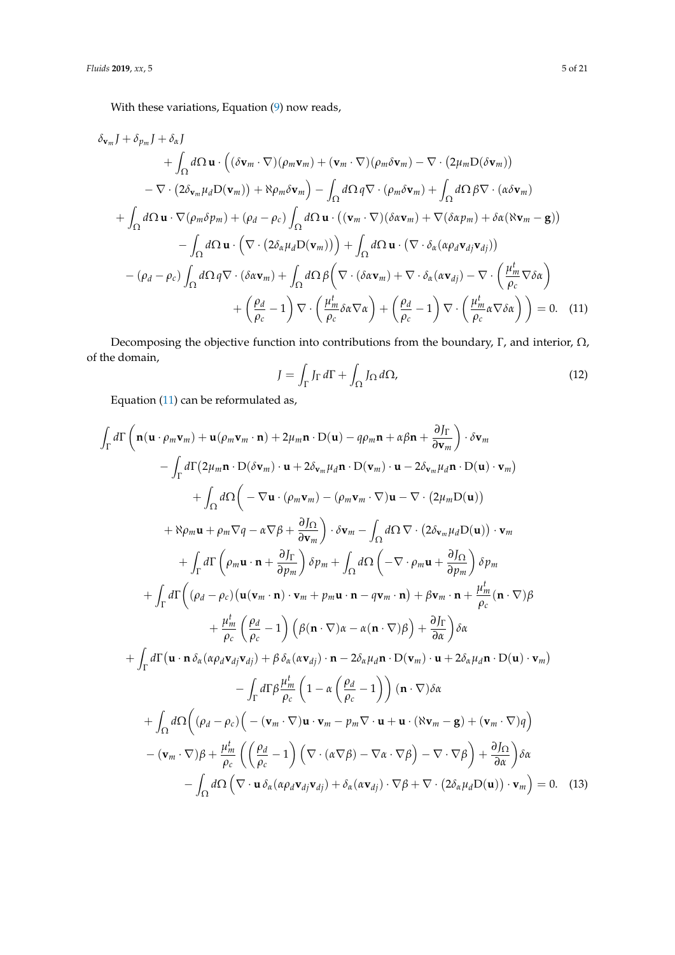With these variations, Equation [\(9\)](#page-3-4) now reads,

$$
\delta_{\mathbf{v}_m} J + \delta_{p_m} J + \delta_{\alpha} J
$$
\n
$$
+ \int_{\Omega} d\Omega \mathbf{u} \cdot ((\delta \mathbf{v}_m \cdot \nabla)(\rho_m \mathbf{v}_m) + (\mathbf{v}_m \cdot \nabla)(\rho_m \delta \mathbf{v}_m) - \nabla \cdot (2\mu_m D(\delta \mathbf{v}_m))
$$
\n
$$
- \nabla \cdot (2\delta_{\mathbf{v}_m} \mu_d D(\mathbf{v}_m)) + \aleph \rho_m \delta \mathbf{v}_m) - \int_{\Omega} d\Omega q \nabla \cdot (\rho_m \delta \mathbf{v}_m) + \int_{\Omega} d\Omega \beta \nabla \cdot (\alpha \delta \mathbf{v}_m)
$$
\n
$$
+ \int_{\Omega} d\Omega \mathbf{u} \cdot \nabla(\rho_m \delta \rho_m) + (\rho_d - \rho_c) \int_{\Omega} d\Omega \mathbf{u} \cdot ((\mathbf{v}_m \cdot \nabla)(\delta \alpha \mathbf{v}_m) + \nabla(\delta \alpha \rho_m) + \delta \alpha (\aleph \mathbf{v}_m - \mathbf{g}))
$$
\n
$$
- \int_{\Omega} d\Omega \mathbf{u} \cdot (\nabla \cdot (2\delta_{\alpha} \mu_d D(\mathbf{v}_m))) + \int_{\Omega} d\Omega \mathbf{u} \cdot (\nabla \cdot \delta_{\alpha} (\alpha \rho_d \mathbf{v}_d \mathbf{v}_d))
$$
\n
$$
- (\rho_d - \rho_c) \int_{\Omega} d\Omega q \nabla \cdot (\delta \alpha \mathbf{v}_m) + \int_{\Omega} d\Omega \beta \left( \nabla \cdot (\delta \alpha \mathbf{v}_m) + \nabla \cdot \delta_{\alpha} (\alpha \mathbf{v}_d) - \nabla \cdot \left( \frac{\mu_m^t}{\rho_c} \nabla \delta \alpha \right) + \left( \frac{\rho_d}{\rho_c} - 1 \right) \nabla \cdot \left( \frac{\mu_m^t}{\rho_c} \delta \alpha \nabla \alpha \right) + \left( \frac{\rho_d}{\rho_c} - 1 \right) \nabla \cdot \left( \frac{\mu_m^t}{\rho_c} \delta \alpha \nabla \delta \alpha \right) = 0. \quad (11)
$$

Decomposing the objective function into contributions from the boundary, Γ, and interior,  $\Omega$ , of the domain,

<span id="page-4-2"></span><span id="page-4-1"></span><span id="page-4-0"></span>
$$
J = \int_{\Gamma} J_{\Gamma} d\Gamma + \int_{\Omega} J_{\Omega} d\Omega, \tag{12}
$$

Equation [\(11\)](#page-4-0) can be reformulated as,

$$
\int_{\Gamma} d\Gamma \left( \mathbf{n}(\mathbf{u} \cdot \rho_m \mathbf{v}_m) + \mathbf{u}(\rho_m \mathbf{v}_m \cdot \mathbf{n}) + 2\mu_m \mathbf{n} \cdot D(\mathbf{u}) - q\rho_m \mathbf{n} + \alpha \beta \mathbf{n} + \frac{\partial J_{\Gamma}}{\partial \mathbf{v}_m} \right) \cdot \delta \mathbf{v}_m \n- \int_{\Gamma} d\Gamma (2\mu_m \mathbf{n} \cdot D(\delta \mathbf{v}_m) \cdot \mathbf{u} + 2\delta_{\mathbf{v}_m} \mu_d \mathbf{n} \cdot D(\mathbf{v}_m) \cdot \mathbf{u} - 2\delta_{\mathbf{v}_m} \mu_d \mathbf{n} \cdot D(\mathbf{u}) \cdot \mathbf{v}_m) \n+ \int_{\Omega} d\Omega \left( - \nabla \mathbf{u} \cdot (\rho_m \mathbf{v}_m) - (\rho_m \mathbf{v}_m \cdot \nabla) \mathbf{u} - \nabla \cdot (2\mu_m D(\mathbf{u})) \right) \n+ \aleph \rho_m \mathbf{u} + \rho_m \nabla q - \alpha \nabla \beta + \frac{\partial J_{\Omega}}{\partial \mathbf{v}_m} \right) \cdot \delta \mathbf{v}_m - \int_{\Omega} d\Omega \nabla \cdot (2\delta_{\mathbf{v}_m} \mu_d D(\mathbf{u})) \cdot \mathbf{v}_m \n+ \int_{\Gamma} d\Gamma \left( \rho_m \mathbf{u} \cdot \mathbf{n} + \frac{\partial J_{\Gamma}}{\partial \mathbf{v}_m} \right) \delta p_m + \int_{\Omega} d\Omega \left( - \nabla \cdot \rho_m \mathbf{u} + \frac{\partial J_{\Omega}}{\partial \mathbf{v}_m} \right) \delta p_m \n+ \int_{\Gamma} d\Gamma \left( (\rho_d - \rho_c) (\mathbf{u}(\mathbf{v}_m \cdot \mathbf{n}) \cdot \mathbf{v}_m + \rho_m \mathbf{u} \cdot \mathbf{n} - q \mathbf{v}_m \cdot \mathbf{n}) + \beta \mathbf{v}_m \cdot \mathbf{n} + \frac{\mu_m^t}{\rho_c} (\mathbf{n} \cdot \nabla) \beta \n+ \frac{\mu_m^t}{\rho_c} \left( \frac{\rho_d}{\rho_c} - 1 \right) \left( \beta (\mathbf{n} \cdot
$$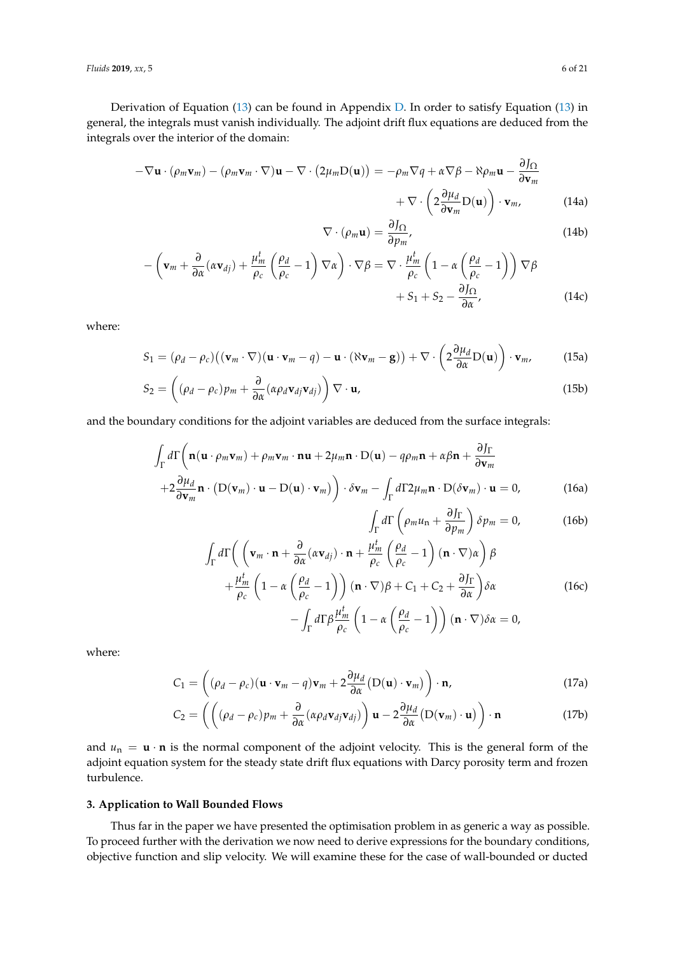*Fluids* **2019**, *xx*, 5 6 of 21

Derivation of Equation [\(13\)](#page-4-1) can be found in Appendix [D.](#page-15-0) In order to satisfy Equation [\(13\)](#page-4-1) in general, the integrals must vanish individually. The adjoint drift flux equations are deduced from the integrals over the interior of the domain:

$$
-\nabla \mathbf{u} \cdot (\rho_m \mathbf{v}_m) - (\rho_m \mathbf{v}_m \cdot \nabla) \mathbf{u} - \nabla \cdot (2\mu_m \mathbf{D}(\mathbf{u})) = -\rho_m \nabla q + \alpha \nabla \beta - \aleph \rho_m \mathbf{u} - \frac{\partial J_{\Omega}}{\partial \mathbf{v}_m} + \nabla \cdot \left(2\frac{\partial \mu_d}{\partial \mathbf{v}_m} \mathbf{D}(\mathbf{u})\right) \cdot \mathbf{v}_m, \tag{14a}
$$

<span id="page-5-3"></span>
$$
\nabla \cdot (\rho_m \mathbf{u}) = \frac{\partial J_{\Omega}}{\partial p_m},\tag{14b}
$$

$$
-\left(\mathbf{v}_{m}+\frac{\partial}{\partial\alpha}(\alpha\mathbf{v}_{dj})+\frac{\mu_{m}^{t}}{\rho_{c}}\left(\frac{\rho_{d}}{\rho_{c}}-1\right)\nabla\alpha\right)\cdot\nabla\beta=\nabla\cdot\frac{\mu_{m}^{t}}{\rho_{c}}\left(1-\alpha\left(\frac{\rho_{d}}{\rho_{c}}-1\right)\right)\nabla\beta\n+S_{1}+S_{2}-\frac{\partial J\Omega}{\partial\alpha},
$$
\n(14c)

where:

<span id="page-5-4"></span>
$$
S_1 = (\rho_d - \rho_c) ((\mathbf{v}_m \cdot \nabla)(\mathbf{u} \cdot \mathbf{v}_m - q) - \mathbf{u} \cdot (\aleph \mathbf{v}_m - \mathbf{g})) + \nabla \cdot \left(2 \frac{\partial \mu_d}{\partial \alpha} D(\mathbf{u})\right) \cdot \mathbf{v}_m, \tag{15a}
$$

$$
S_2 = \left( (\rho_d - \rho_c) p_m + \frac{\partial}{\partial \alpha} (\alpha \rho_d \mathbf{v}_{dj} \mathbf{v}_{dj}) \right) \nabla \cdot \mathbf{u},\tag{15b}
$$

and the boundary conditions for the adjoint variables are deduced from the surface integrals:

$$
\int_{\Gamma} d\Gamma \left( \mathbf{n}(\mathbf{u} \cdot \rho_m \mathbf{v}_m) + \rho_m \mathbf{v}_m \cdot \mathbf{n} \mathbf{u} + 2\mu_m \mathbf{n} \cdot \mathbf{D}(\mathbf{u}) - q\rho_m \mathbf{n} + \alpha \beta \mathbf{n} + \frac{\partial J_{\Gamma}}{\partial \mathbf{v}_m} \right. \\
\left. + 2\frac{\partial \mu_d}{\partial \mathbf{v}_m} \mathbf{n} \cdot (\mathbf{D}(\mathbf{v}_m) \cdot \mathbf{u} - \mathbf{D}(\mathbf{u}) \cdot \mathbf{v}_m) \right) \cdot \delta \mathbf{v}_m - \int_{\Gamma} d\Gamma 2\mu_m \mathbf{n} \cdot \mathbf{D}(\delta \mathbf{v}_m) \cdot \mathbf{u} = 0,
$$
\n(16a)

<span id="page-5-2"></span><span id="page-5-1"></span>
$$
\int_{\Gamma} d\Gamma \left( \rho_m u_n + \frac{\partial J_{\Gamma}}{\partial p_m} \right) \delta p_m = 0, \tag{16b}
$$

$$
\int_{\Gamma} d\Gamma \left( \left( \mathbf{v}_{m} \cdot \mathbf{n} + \frac{\partial}{\partial \alpha} (\alpha \mathbf{v}_{dj}) \cdot \mathbf{n} + \frac{\mu_{m}^{t}}{\rho_{c}} \left( \frac{\rho_{d}}{\rho_{c}} - 1 \right) (\mathbf{n} \cdot \nabla) \alpha \right) \beta + \frac{\mu_{m}^{t}}{\rho_{c}} \left( 1 - \alpha \left( \frac{\rho_{d}}{\rho_{c}} - 1 \right) \right) (\mathbf{n} \cdot \nabla) \beta + C_{1} + C_{2} + \frac{\partial J_{\Gamma}}{\partial \alpha} \right) \delta \alpha - \int_{\Gamma} d\Gamma \beta \frac{\mu_{m}^{t}}{\rho_{c}} \left( 1 - \alpha \left( \frac{\rho_{d}}{\rho_{c}} - 1 \right) \right) (\mathbf{n} \cdot \nabla) \delta \alpha = 0,
$$
\n(16c)

where:

$$
C_1 = \left( (\rho_d - \rho_c)(\mathbf{u} \cdot \mathbf{v}_m - q)\mathbf{v}_m + 2\frac{\partial \mu_d}{\partial \alpha} (D(\mathbf{u}) \cdot \mathbf{v}_m) \right) \cdot \mathbf{n},
$$
\n(17a)

$$
C_2 = \left( \left( (\rho_d - \rho_c) p_m + \frac{\partial}{\partial \alpha} (\alpha \rho_d \mathbf{v}_{dj} \mathbf{v}_{dj}) \right) \mathbf{u} - 2 \frac{\partial \mu_d}{\partial \alpha} (D(\mathbf{v}_m) \cdot \mathbf{u}) \right) \cdot \mathbf{n}
$$
(17b)

and  $u_n = \mathbf{u} \cdot \mathbf{n}$  is the normal component of the adjoint velocity. This is the general form of the adjoint equation system for the steady state drift flux equations with Darcy porosity term and frozen turbulence.

## <span id="page-5-0"></span>**3. Application to Wall Bounded Flows**

Thus far in the paper we have presented the optimisation problem in as generic a way as possible. To proceed further with the derivation we now need to derive expressions for the boundary conditions, objective function and slip velocity. We will examine these for the case of wall-bounded or ducted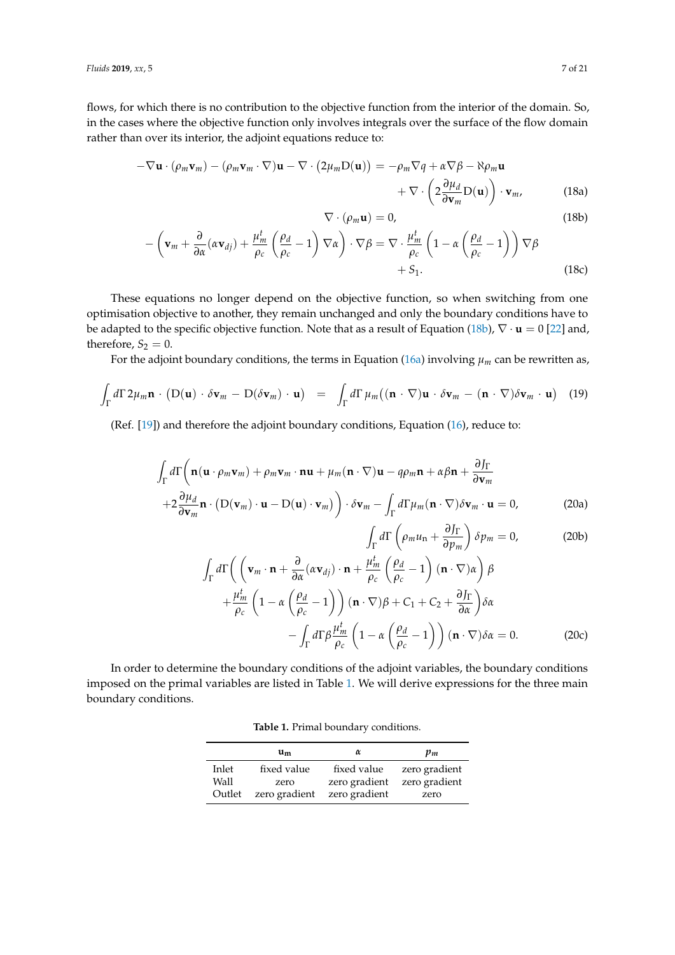flows, for which there is no contribution to the objective function from the interior of the domain. So, in the cases where the objective function only involves integrals over the surface of the flow domain rather than over its interior, the adjoint equations reduce to:

$$
-\nabla \mathbf{u} \cdot (\rho_m \mathbf{v}_m) - (\rho_m \mathbf{v}_m \cdot \nabla) \mathbf{u} - \nabla \cdot (2\mu_m \mathbf{D}(\mathbf{u})) = -\rho_m \nabla q + \alpha \nabla \beta - \aleph \rho_m \mathbf{u}
$$
  
+ 
$$
\nabla \cdot \left(2 \frac{\partial \mu_d}{\partial \mathbf{v}_m} \mathbf{D}(\mathbf{u})\right) \cdot \mathbf{v}_m, \qquad (18a)
$$
  

$$
\nabla \cdot (\rho_m \mathbf{u}) = 0, \qquad (18b)
$$

<span id="page-6-0"></span>
$$
(18b)
$$

$$
-\left(\mathbf{v}_{m}+\frac{\partial}{\partial\alpha}(\alpha\mathbf{v}_{dj})+\frac{\mu_{m}^{t}}{\rho_{c}}\left(\frac{\rho_{d}}{\rho_{c}}-1\right)\nabla\alpha\right)\cdot\nabla\beta=\nabla\cdot\frac{\mu_{m}^{t}}{\rho_{c}}\left(1-\alpha\left(\frac{\rho_{d}}{\rho_{c}}-1\right)\right)\nabla\beta+S_{1}.
$$
\n(18c)

These equations no longer depend on the objective function, so when switching from one optimisation objective to another, they remain unchanged and only the boundary conditions have to be adapted to the specific objective function. Note that as a result of Equation [\(18b\)](#page-6-0), ∇ · **u** = 0 [\[22\]](#page-20-0) and, therefore,  $S_2 = 0$ .

For the adjoint boundary conditions, the terms in Equation ( $16a$ ) involving  $\mu_m$  can be rewritten as,

$$
\int_{\Gamma} d\Gamma \, 2\mu_m \mathbf{n} \cdot (D(\mathbf{u}) \cdot \delta \mathbf{v}_m - D(\delta \mathbf{v}_m) \cdot \mathbf{u}) = \int_{\Gamma} d\Gamma \, \mu_m ((\mathbf{n} \cdot \nabla) \mathbf{u} \cdot \delta \mathbf{v}_m - (\mathbf{n} \cdot \nabla) \delta \mathbf{v}_m \cdot \mathbf{u}) \tag{19}
$$

<span id="page-6-4"></span>(Ref. [\[19\]](#page-19-17)) and therefore the adjoint boundary conditions, Equation [\(16\)](#page-5-2), reduce to:

$$
\int_{\Gamma} d\Gamma \left( \mathbf{n}(\mathbf{u} \cdot \rho_m \mathbf{v}_m) + \rho_m \mathbf{v}_m \cdot \mathbf{n} \mathbf{u} + \mu_m (\mathbf{n} \cdot \nabla) \mathbf{u} - q \rho_m \mathbf{n} + \alpha \beta \mathbf{n} + \frac{\partial J_{\Gamma}}{\partial \mathbf{v}_m} \right. \\
\left. + 2 \frac{\partial \mu_d}{\partial \mathbf{v}_m} \mathbf{n} \cdot (\mathbf{D}(\mathbf{v}_m) \cdot \mathbf{u} - \mathbf{D}(\mathbf{u}) \cdot \mathbf{v}_m) \right) \cdot \delta \mathbf{v}_m - \int_{\Gamma} d\Gamma \mu_m (\mathbf{n} \cdot \nabla) \delta \mathbf{v}_m \cdot \mathbf{u} = 0,
$$
\n(20a)

Z Γ

<span id="page-6-5"></span><span id="page-6-3"></span><span id="page-6-2"></span>
$$
d\Gamma\left(\rho_m u_n + \frac{\partial J_{\Gamma}}{\partial p_m}\right) \delta p_m = 0, \qquad (20b)
$$

$$
\int_{\Gamma} d\Gamma \left( \left( \mathbf{v}_{m} \cdot \mathbf{n} + \frac{\partial}{\partial \alpha} (\alpha \mathbf{v}_{dj}) \cdot \mathbf{n} + \frac{\mu_{m}^{t}}{\rho_{c}} \left( \frac{\rho_{d}}{\rho_{c}} - 1 \right) (\mathbf{n} \cdot \nabla) \alpha \right) \beta + \frac{\mu_{m}^{t}}{\rho_{c}} \left( 1 - \alpha \left( \frac{\rho_{d}}{\rho_{c}} - 1 \right) \right) (\mathbf{n} \cdot \nabla) \beta + C_{1} + C_{2} + \frac{\partial J_{\Gamma}}{\partial \alpha} \right) \delta \alpha - \int_{\Gamma} d\Gamma \beta \frac{\mu_{m}^{t}}{\rho_{c}} \left( 1 - \alpha \left( \frac{\rho_{d}}{\rho_{c}} - 1 \right) \right) (\mathbf{n} \cdot \nabla) \delta \alpha = 0.
$$
 (20c)

<span id="page-6-1"></span>In order to determine the boundary conditions of the adjoint variables, the boundary conditions imposed on the primal variables are listed in Table [1.](#page-6-1) We will derive expressions for the three main boundary conditions.

**Table 1.** Primal boundary conditions.

|        | um            | α             | $\mathbf{p}_m$ |
|--------|---------------|---------------|----------------|
| Inlet  | fixed value   | fixed value   | zero gradient  |
| Wall   | zero          | zero gradient | zero gradient  |
| Outlet | zero gradient | zero gradient | zero           |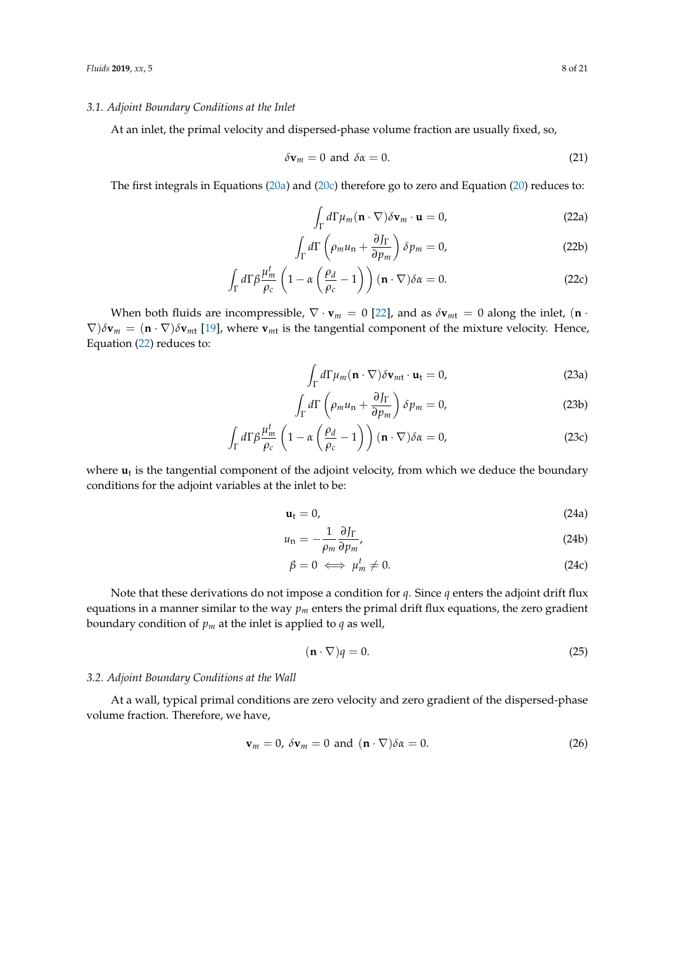#### *3.1. Adjoint Boundary Conditions at the Inlet*

At an inlet, the primal velocity and dispersed-phase volume fraction are usually fixed, so,

$$
\delta \mathbf{v}_m = 0 \text{ and } \delta \alpha = 0. \tag{21}
$$

The first integrals in Equations [\(20a\)](#page-6-2) and [\(20c\)](#page-6-3) therefore go to zero and Equation [\(20\)](#page-6-4) reduces to:

<span id="page-7-0"></span>
$$
\int_{\Gamma} d\Gamma \mu_m (\mathbf{n} \cdot \nabla) \delta \mathbf{v}_m \cdot \mathbf{u} = 0,
$$
\n(22a)

$$
\int_{\Gamma} d\Gamma \left( \rho_m u_n + \frac{\partial J_{\Gamma}}{\partial p_m} \right) \delta p_m = 0, \tag{22b}
$$

$$
\int_{\Gamma} d\Gamma \beta \frac{\mu_m^t}{\rho_c} \left( 1 - \alpha \left( \frac{\rho_d}{\rho_c} - 1 \right) \right) (\mathbf{n} \cdot \nabla) \delta \alpha = 0. \tag{22c}
$$

When both fluids are incompressible,  $\nabla \cdot \mathbf{v}_m = 0$  [\[22\]](#page-20-0), and as  $\delta \mathbf{v}_{m\text{t}} = 0$  along the inlet, (**n** ·  $\nabla$ *)* $\delta$ **v**<sub>*m*</sub> = (**n** ·  $\nabla$ *)* $\delta$ **v**<sub>*m*t</sub> [\[19\]](#page-19-17), where **v**<sub>*mt*</sub> is the tangential component of the mixture velocity. Hence, Equation [\(22\)](#page-7-0) reduces to:

$$
\int_{\Gamma} d\Gamma \mu_m (\mathbf{n} \cdot \nabla) \delta \mathbf{v}_{m\mathbf{t}} \cdot \mathbf{u}_{\mathbf{t}} = 0,
$$
\n(23a)

$$
\int_{\Gamma} d\Gamma \left( \rho_m u_n + \frac{\partial J_{\Gamma}}{\partial p_m} \right) \delta p_m = 0, \tag{23b}
$$

$$
\int_{\Gamma} d\Gamma \beta \frac{\mu_m^t}{\rho_c} \left( 1 - \alpha \left( \frac{\rho_d}{\rho_c} - 1 \right) \right) (\mathbf{n} \cdot \nabla) \delta \alpha = 0, \tag{23c}
$$

where  $\mathbf{u}_t$  is the tangential component of the adjoint velocity, from which we deduce the boundary conditions for the adjoint variables at the inlet to be:

$$
\mathbf{u}_t = 0,\tag{24a}
$$

$$
u_{\rm n} = -\frac{1}{\rho_m} \frac{\partial J_{\Gamma}}{\partial p_m},\tag{24b}
$$

<span id="page-7-2"></span>
$$
\beta = 0 \iff \mu_m^t \neq 0. \tag{24c}
$$

Note that these derivations do not impose a condition for *q*. Since *q* enters the adjoint drift flux equations in a manner similar to the way  $p_m$  enters the primal drift flux equations, the zero gradient boundary condition of  $p_m$  at the inlet is applied to  $q$  as well,

<span id="page-7-1"></span>
$$
(\mathbf{n} \cdot \nabla)q = 0. \tag{25}
$$

#### *3.2. Adjoint Boundary Conditions at the Wall*

At a wall, typical primal conditions are zero velocity and zero gradient of the dispersed-phase volume fraction. Therefore, we have,

$$
\mathbf{v}_m = 0, \ \delta \mathbf{v}_m = 0 \ \text{and} \ (\mathbf{n} \cdot \nabla) \delta \alpha = 0. \tag{26}
$$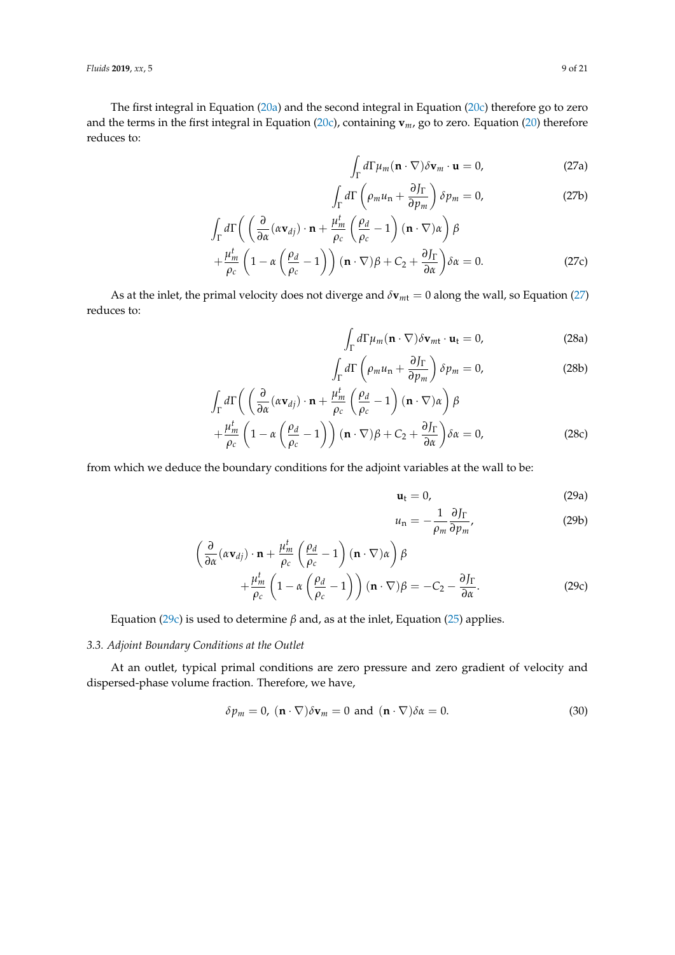*Fluids* **2019**, *xx*, 5 9 of 21

<span id="page-8-0"></span>The first integral in Equation [\(20a\)](#page-6-2) and the second integral in Equation [\(20c\)](#page-6-3) therefore go to zero and the terms in the first integral in Equation [\(20c\)](#page-6-3), containing **v***m*, go to zero. Equation [\(20\)](#page-6-4) therefore reduces to:

$$
\int_{\Gamma} d\Gamma \mu_m (\mathbf{n} \cdot \nabla) \delta \mathbf{v}_m \cdot \mathbf{u} = 0, \tag{27a}
$$

$$
\int_{\Gamma} d\Gamma \left( \rho_m u_n + \frac{\partial J_{\Gamma}}{\partial p_m} \right) \delta p_m = 0, \tag{27b}
$$

$$
\int_{\Gamma} d\Gamma \left( \left( \frac{\partial}{\partial \alpha} (\alpha \mathbf{v}_{dj}) \cdot \mathbf{n} + \frac{\mu_m^t}{\rho_c} \left( \frac{\rho_d}{\rho_c} - 1 \right) (\mathbf{n} \cdot \nabla) \alpha \right) \beta + \frac{\mu_m^t}{\rho_c} \left( 1 - \alpha \left( \frac{\rho_d}{\rho_c} - 1 \right) \right) (\mathbf{n} \cdot \nabla) \beta + C_2 + \frac{\partial J_{\Gamma}}{\partial \alpha} \right) \delta \alpha = 0.
$$
\n(27c)

As at the inlet, the primal velocity does not diverge and  $\delta \mathbf{v}_{mt} = 0$  along the wall, so Equation [\(27\)](#page-8-0) reduces to:

$$
\int_{\Gamma} d\Gamma \mu_m(\mathbf{n} \cdot \nabla) \delta \mathbf{v}_{m\mathbf{t}} \cdot \mathbf{u}_{\mathbf{t}} = 0,
$$
\n(28a)

$$
\int_{\Gamma} d\Gamma \left( \rho_m u_n + \frac{\partial J_{\Gamma}}{\partial p_m} \right) \delta p_m = 0, \tag{28b}
$$

$$
\int_{\Gamma} d\Gamma \left( \left( \frac{\partial}{\partial \alpha} (\alpha \mathbf{v}_{dj}) \cdot \mathbf{n} + \frac{\mu_m^t}{\rho_c} \left( \frac{\rho_d}{\rho_c} - 1 \right) (\mathbf{n} \cdot \nabla) \alpha \right) \beta \n+ \frac{\mu_m^t}{\rho_c} \left( 1 - \alpha \left( \frac{\rho_d}{\rho_c} - 1 \right) \right) (\mathbf{n} \cdot \nabla) \beta + C_2 + \frac{\partial J_{\Gamma}}{\partial \alpha} \right) \delta \alpha = 0,
$$
\n(28c)

from which we deduce the boundary conditions for the adjoint variables at the wall to be:

<span id="page-8-2"></span>
$$
\mathbf{u}_t = 0,\tag{29a}
$$

<span id="page-8-1"></span>
$$
u_{\rm n} = -\frac{1}{\rho_m} \frac{\partial J_{\Gamma}}{\partial p_m},\tag{29b}
$$

$$
\left(\frac{\partial}{\partial \alpha}(\alpha \mathbf{v}_{dj}) \cdot \mathbf{n} + \frac{\mu_m^t}{\rho_c} \left(\frac{\rho_d}{\rho_c} - 1\right) (\mathbf{n} \cdot \nabla) \alpha \right) \beta + \frac{\mu_m^t}{\rho_c} \left(1 - \alpha \left(\frac{\rho_d}{\rho_c} - 1\right) (\mathbf{n} \cdot \nabla) \beta = -C_2 - \frac{\partial J_\Gamma}{\partial \alpha}.
$$
\n(29c)

Equation [\(29c\)](#page-8-1) is used to determine *β* and, as at the inlet, Equation [\(25\)](#page-7-1) applies.

## *3.3. Adjoint Boundary Conditions at the Outlet*

At an outlet, typical primal conditions are zero pressure and zero gradient of velocity and dispersed-phase volume fraction. Therefore, we have,

$$
\delta p_m = 0, \ (\mathbf{n} \cdot \nabla) \delta \mathbf{v}_m = 0 \text{ and } (\mathbf{n} \cdot \nabla) \delta \alpha = 0. \tag{30}
$$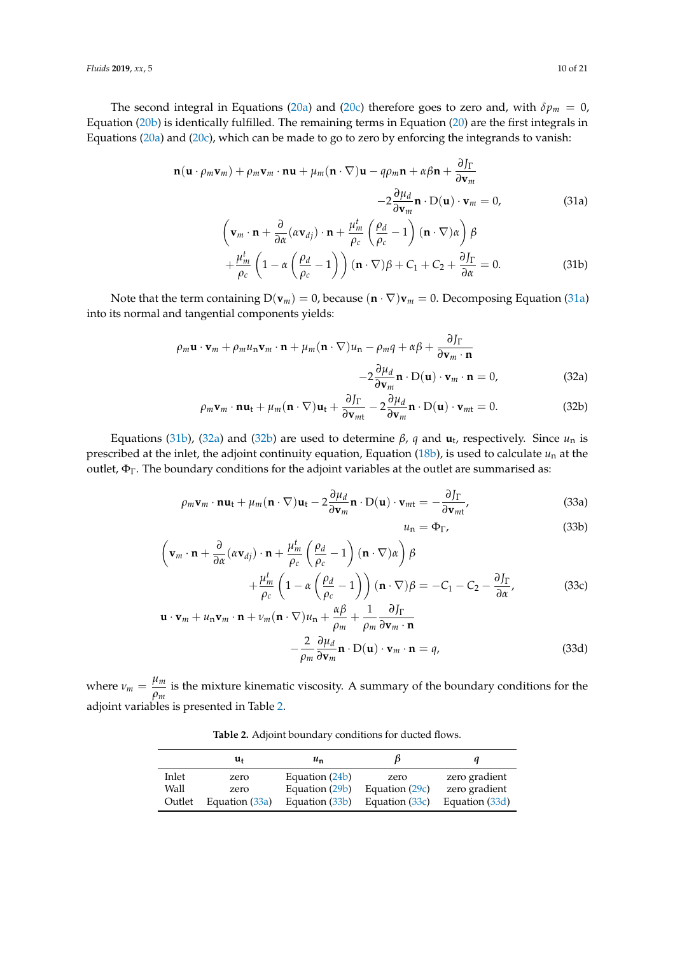The second integral in Equations [\(20a\)](#page-6-2) and [\(20c\)](#page-6-3) therefore goes to zero and, with  $\delta p_m = 0$ , Equation [\(20b\)](#page-6-5) is identically fulfilled. The remaining terms in Equation [\(20\)](#page-6-4) are the first integrals in Equations [\(20a\)](#page-6-2) and [\(20c\)](#page-6-3), which can be made to go to zero by enforcing the integrands to vanish:

$$
\mathbf{n}(\mathbf{u} \cdot \rho_m \mathbf{v}_m) + \rho_m \mathbf{v}_m \cdot \mathbf{n} \mathbf{u} + \mu_m (\mathbf{n} \cdot \nabla) \mathbf{u} - q \rho_m \mathbf{n} + \alpha \beta \mathbf{n} + \frac{\partial J_{\Gamma}}{\partial \mathbf{v}_m}
$$
  
\n
$$
-2 \frac{\partial \mu_d}{\partial \mathbf{v}_m} \mathbf{n} \cdot \mathbf{D}(\mathbf{u}) \cdot \mathbf{v}_m = 0,
$$
 (31a)  
\n
$$
\left(\mathbf{v}_m \cdot \mathbf{n} + \frac{\partial}{\partial \alpha} (\alpha \mathbf{v}_{dj}) \cdot \mathbf{n} + \frac{\mu_m^t}{\rho_c} \left(\frac{\rho_d}{\rho_c} - 1\right) (\mathbf{n} \cdot \nabla) \alpha \right) \beta
$$
  
\n
$$
+ \frac{\mu_m^t}{\rho_c} \left(1 - \alpha \left(\frac{\rho_d}{\rho_c} - 1\right) \right) (\mathbf{n} \cdot \nabla) \beta + C_1 + C_2 + \frac{\partial J_{\Gamma}}{\partial \alpha} = 0.
$$
 (31b)

Note that the term containing  $D(\mathbf{v}_m) = 0$ , because  $(\mathbf{n} \cdot \nabla) \mathbf{v}_m = 0$ . Decomposing Equation [\(31a\)](#page-9-0) into its normal and tangential components yields:

$$
\rho_m \mathbf{u} \cdot \mathbf{v}_m + \rho_m u_n \mathbf{v}_m \cdot \mathbf{n} + \mu_m (\mathbf{n} \cdot \nabla) u_n - \rho_m q + \alpha \beta + \frac{\partial J_{\Gamma}}{\partial \mathbf{v}_m \cdot \mathbf{n}} -2 \frac{\partial \mu_d}{\partial \mathbf{v}_m} \mathbf{n} \cdot \mathbf{D}(\mathbf{u}) \cdot \mathbf{v}_m \cdot \mathbf{n} = 0,
$$
 (32a)

$$
\rho_m \mathbf{v}_m \cdot \mathbf{n} \mathbf{u}_t + \mu_m (\mathbf{n} \cdot \nabla) \mathbf{u}_t + \frac{\partial J_\Gamma}{\partial \mathbf{v}_{mt}} - 2 \frac{\partial \mu_d}{\partial \mathbf{v}_m} \mathbf{n} \cdot D(\mathbf{u}) \cdot \mathbf{v}_{mt} = 0.
$$
 (32b)

Equations [\(31b\)](#page-9-1), [\(32a\)](#page-9-2) and [\(32b\)](#page-9-3) are used to determine *β*, *q* and **u**<sup>t</sup> , respectively. Since *u*<sup>n</sup> is prescribed at the inlet, the adjoint continuity equation, Equation  $(18b)$ , is used to calculate  $u_n$  at the outlet,  $\Phi_{\Gamma}$ . The boundary conditions for the adjoint variables at the outlet are summarised as:

$$
\rho_m \mathbf{v}_m \cdot \mathbf{n} \mathbf{u}_t + \mu_m (\mathbf{n} \cdot \nabla) \mathbf{u}_t - 2 \frac{\partial \mu_d}{\partial \mathbf{v}_m} \mathbf{n} \cdot D(\mathbf{u}) \cdot \mathbf{v}_{m t} = - \frac{\partial J_{\Gamma}}{\partial \mathbf{v}_{m t}},
$$
(33a)

<span id="page-9-8"></span><span id="page-9-7"></span><span id="page-9-6"></span><span id="page-9-5"></span><span id="page-9-3"></span><span id="page-9-2"></span><span id="page-9-1"></span><span id="page-9-0"></span>
$$
u_{\rm n} = \Phi_{\Gamma},\tag{33b}
$$

$$
\left(\mathbf{v}_{m} \cdot \mathbf{n} + \frac{\partial}{\partial \alpha} (\alpha \mathbf{v}_{dj}) \cdot \mathbf{n} + \frac{\mu_{m}^{t}}{\rho_{c}} \left(\frac{\rho_{d}}{\rho_{c}} - 1\right) (\mathbf{n} \cdot \nabla) \alpha \right) \beta + \frac{\mu_{m}^{t}}{\rho_{c}} \left(1 - \alpha \left(\frac{\rho_{d}}{\rho_{c}} - 1\right) \right) (\mathbf{n} \cdot \nabla) \beta = -C_{1} - C_{2} - \frac{\partial J_{\Gamma}}{\partial \alpha},
$$
(33c)

$$
\mathbf{u} \cdot \mathbf{v}_m + u_n \mathbf{v}_m \cdot \mathbf{n} + v_m (\mathbf{n} \cdot \nabla) u_n + \frac{\alpha \beta}{\rho_m} + \frac{1}{\rho_m} \frac{\partial J_{\Gamma}}{\partial \mathbf{v}_m \cdot \mathbf{n}} -\frac{2}{\rho_m} \frac{\partial \mu_d}{\partial \mathbf{v}_m} \mathbf{n} \cdot \mathbf{D}(\mathbf{u}) \cdot \mathbf{v}_m \cdot \mathbf{n} = q,
$$
 (33d)

<span id="page-9-4"></span>where  $\nu_m = \frac{\mu_m}{2}$  $\frac{P^m}{\rho_m}$  is the mixture kinematic viscosity. A summary of the boundary conditions for the adjoint variables is presented in Table [2.](#page-9-4)

**Table 2.** Adjoint boundary conditions for ducted flows.

|        | u,             | $u_{n}$        |                | и              |
|--------|----------------|----------------|----------------|----------------|
| Inlet  | zero           | Equation (24b) | zero           | zero gradient  |
| Wall   | zero           | Equation (29b) | Equation (29c) | zero gradient  |
| Outlet | Equation (33a) | Equation (33b) | Equation (33c) | Equation (33d) |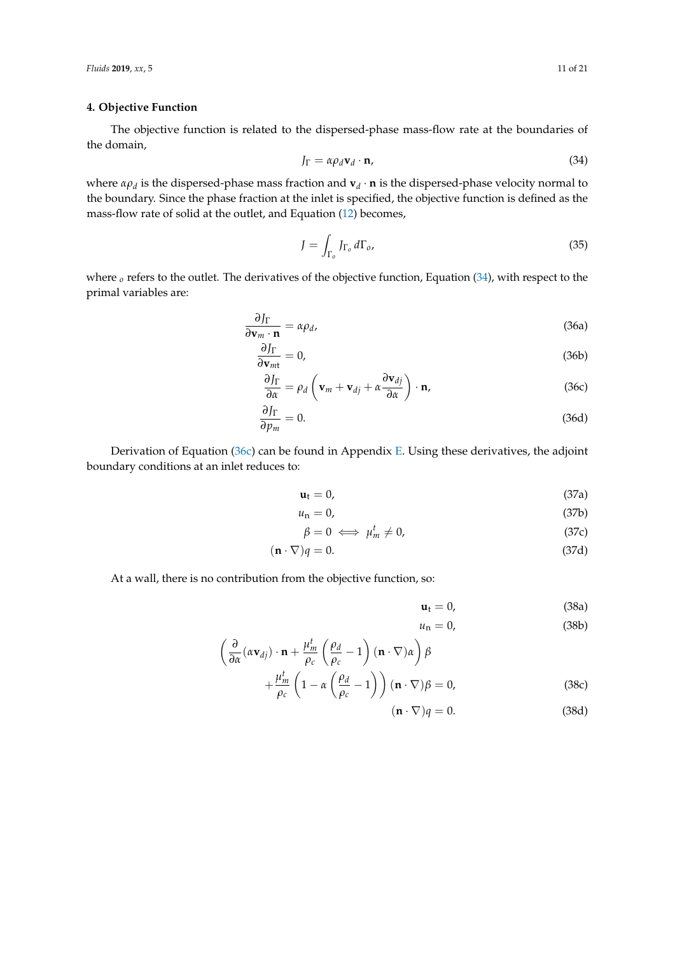#### <span id="page-10-0"></span>**4. Objective Function**

The objective function is related to the dispersed-phase mass-flow rate at the boundaries of the domain,

<span id="page-10-1"></span>
$$
J_{\Gamma} = \alpha \rho_d \mathbf{v}_d \cdot \mathbf{n},\tag{34}
$$

where *αρ<sup>d</sup>* is the dispersed-phase mass fraction and **v***<sup>d</sup>* · **n** is the dispersed-phase velocity normal to the boundary. Since the phase fraction at the inlet is specified, the objective function is defined as the mass-flow rate of solid at the outlet, and Equation [\(12\)](#page-4-2) becomes,

$$
J = \int_{\Gamma_o} J_{\Gamma_o} d\Gamma_o,
$$
\n(35)

where <sub>*o*</sub> refers to the outlet. The derivatives of the objective function, Equation [\(34\)](#page-10-1), with respect to the primal variables are:

$$
\frac{\partial J_{\Gamma}}{\partial \mathbf{v}_m \cdot \mathbf{n}} = \alpha \rho_d, \tag{36a}
$$

$$
\frac{\partial J_{\Gamma}}{\partial \mathbf{v}_{mt}} = 0, \tag{36b}
$$

$$
\frac{\partial J_{\Gamma}}{\partial \alpha} = \rho_d \left( \mathbf{v}_m + \mathbf{v}_{dj} + \alpha \frac{\partial \mathbf{v}_{dj}}{\partial \alpha} \right) \cdot \mathbf{n}, \tag{36c}
$$

$$
\frac{\partial J_{\Gamma}}{\partial p_m} = 0. \tag{36d}
$$

Derivation of Equation [\(36c\)](#page-10-2) can be found in Appendix [E.](#page-18-0) Using these derivatives, the adjoint boundary conditions at an inlet reduces to:

$$
\mathbf{u}_{t} = 0, \tag{37a}
$$

$$
u_{\rm n} = 0,\tag{37b}
$$

$$
\beta = 0 \iff \mu_m^t \neq 0,\tag{37c}
$$

$$
(\mathbf{n} \cdot \nabla)q = 0. \tag{37d}
$$

At a wall, there is no contribution from the objective function, so:

<span id="page-10-2"></span>
$$
\mathbf{u}_t = 0,\tag{38a}
$$

<span id="page-10-3"></span>
$$
u_{\rm n} = 0,\tag{38b}
$$

 $\left(\frac{\partial}{\partial \alpha}(\alpha \mathbf{v}_{dj}) \cdot \mathbf{n} + \frac{\mu_m^t}{\rho_c}\right)$ *ρc ρd*  $\left(\frac{\rho_d}{\rho_c} - 1\right) (\mathbf{n} \cdot \nabla) \alpha$ *β t*

$$
+\frac{\mu_m^t}{\rho_c}\left(1-\alpha\left(\frac{\rho_d}{\rho_c}-1\right)\right)(\mathbf{n}\cdot\nabla)\beta=0,
$$
\n(38c)

$$
(\mathbf{n} \cdot \nabla)q = 0. \tag{38d}
$$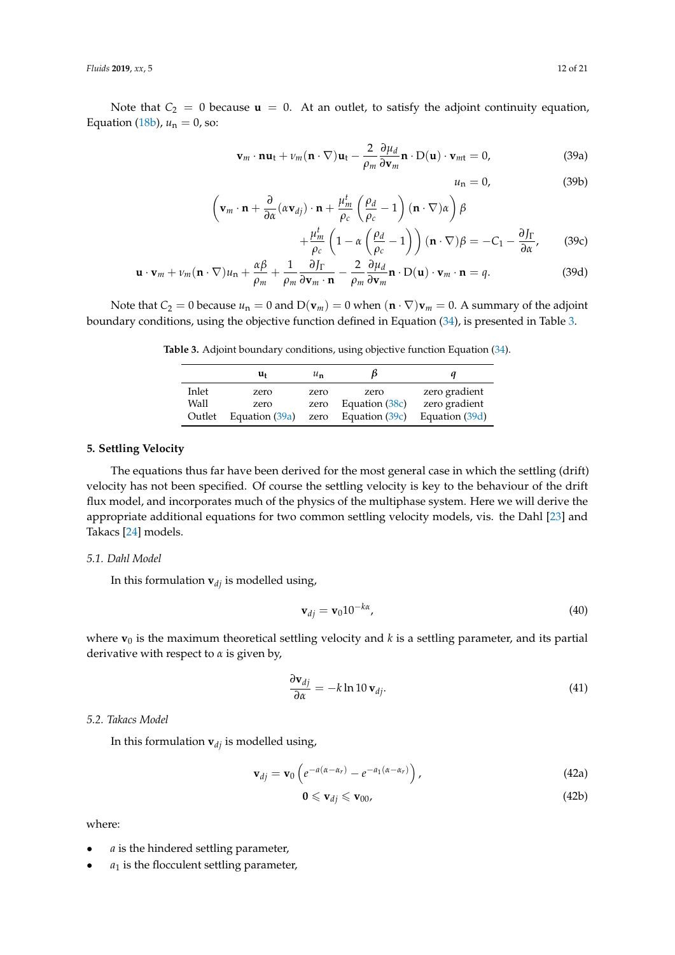Note that  $C_2 = 0$  because  $\mathbf{u} = 0$ . At an outlet, to satisfy the adjoint continuity equation, Equation [\(18b\)](#page-6-0),  $u_n = 0$ , so:

<span id="page-11-5"></span>
$$
\mathbf{v}_m \cdot \mathbf{n} \mathbf{u}_t + \nu_m (\mathbf{n} \cdot \nabla) \mathbf{u}_t - \frac{2}{\rho_m} \frac{\partial \mu_d}{\partial \mathbf{v}_m} \mathbf{n} \cdot D(\mathbf{u}) \cdot \mathbf{v}_{mt} = 0, \qquad (39a)
$$

<span id="page-11-4"></span><span id="page-11-3"></span><span id="page-11-2"></span> $u_n = 0,$  (39b)

$$
\left(\mathbf{v}_{m} \cdot \mathbf{n} + \frac{\partial}{\partial \alpha}(\alpha \mathbf{v}_{dj}) \cdot \mathbf{n} + \frac{\mu_{m}^{t}}{\rho_{c}} \left(\frac{\rho_{d}}{\rho_{c}} - 1\right) (\mathbf{n} \cdot \nabla) \alpha \right) \beta
$$
\n
$$
\mu_{m}^{t} \left(1 - \alpha \left(\frac{\rho_{d}}{\rho_{c}} - 1\right) (\mathbf{n} \cdot \nabla) \beta - \alpha \right) \delta \Gamma
$$
\n(29a)

$$
+\frac{\mu_m^t}{\rho_c} \left(1 - \alpha \left(\frac{\rho_d}{\rho_c} - 1\right)\right) (\mathbf{n} \cdot \nabla)\beta = -C_1 - \frac{\partial J_\Gamma}{\partial \alpha},\qquad(39c)
$$

$$
\mathbf{u} \cdot \mathbf{v}_m + \nu_m (\mathbf{n} \cdot \nabla) u_n + \frac{\alpha \beta}{\rho_m} + \frac{1}{\rho_m} \frac{\partial J_{\Gamma}}{\partial \mathbf{v}_m \cdot \mathbf{n}} - \frac{2}{\rho_m} \frac{\partial \mu_d}{\partial \mathbf{v}_m} \mathbf{n} \cdot \mathbf{D}(\mathbf{u}) \cdot \mathbf{v}_m \cdot \mathbf{n} = q. \tag{39d}
$$

<span id="page-11-1"></span>Note that  $C_2 = 0$  because  $u_n = 0$  and  $D(\mathbf{v}_m) = 0$  when  $(\mathbf{n} \cdot \nabla)\mathbf{v}_m = 0$ . A summary of the adjoint boundary conditions, using the objective function defined in Equation [\(34\)](#page-10-1), is presented in Table [3.](#page-11-1)

**Table 3.** Adjoint boundary conditions, using objective function Equation [\(34\)](#page-10-1).

|        | u+             | $u_{\mathbf{n}}$ |                  |                |
|--------|----------------|------------------|------------------|----------------|
| Inlet  | zero           | zero             | zero             | zero gradient  |
| Wall   | zero           | zero             | Equation (38c)   | zero gradient  |
| Outlet | Equation (39a) | zero             | Equation $(39c)$ | Equation (39d) |

#### <span id="page-11-0"></span>**5. Settling Velocity**

The equations thus far have been derived for the most general case in which the settling (drift) velocity has not been specified. Of course the settling velocity is key to the behaviour of the drift flux model, and incorporates much of the physics of the multiphase system. Here we will derive the appropriate additional equations for two common settling velocity models, vis. the Dahl [\[23\]](#page-20-1) and Takacs [\[24\]](#page-20-2) models.

#### *5.1. Dahl Model*

In this formulation  $\mathbf{v}_{di}$  is modelled using,

$$
\mathbf{v}_{dj} = \mathbf{v}_0 10^{-k\alpha},\tag{40}
$$

where  $\mathbf{v}_0$  is the maximum theoretical settling velocity and *k* is a settling parameter, and its partial derivative with respect to *α* is given by,

$$
\frac{\partial \mathbf{v}_{dj}}{\partial \alpha} = -k \ln 10 \, \mathbf{v}_{dj}.\tag{41}
$$

## *5.2. Takacs Model*

In this formulation  $\mathbf{v}_{di}$  is modelled using,

$$
\mathbf{v}_{dj} = \mathbf{v}_0 \left( e^{-a(\alpha - \alpha_r)} - e^{-a_1(\alpha - \alpha_r)} \right), \tag{42a}
$$

$$
\mathbf{0}\leqslant \mathbf{v}_{dj}\leqslant \mathbf{v}_{00},\tag{42b}
$$

where:

- *a* is the hindered settling parameter,
- $a_1$  is the flocculent settling parameter,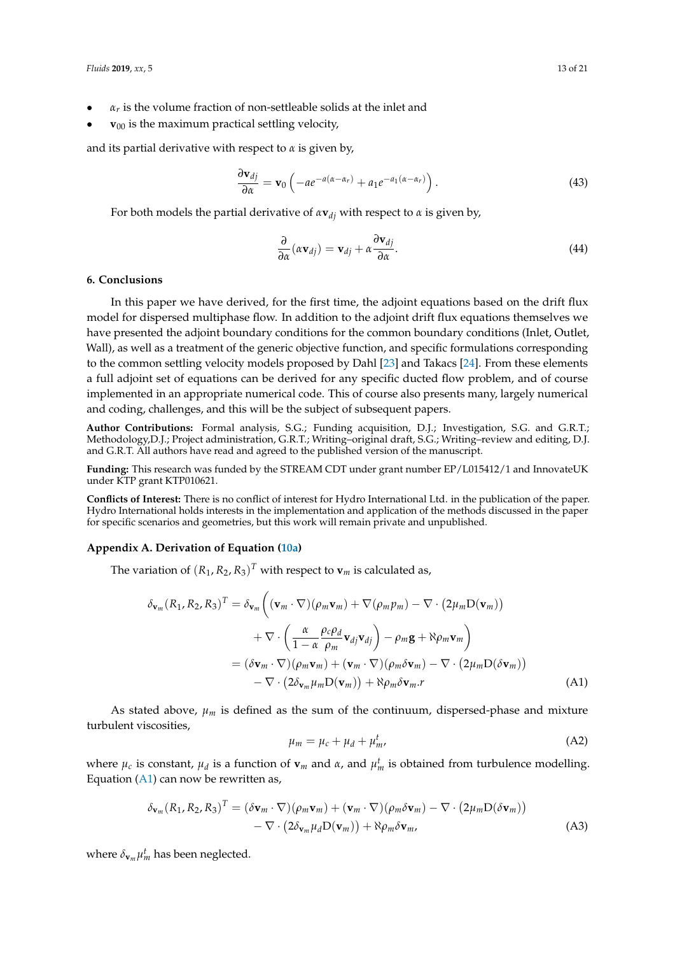- *α<sup>r</sup>* is the volume fraction of non-settleable solids at the inlet and
- $v_{00}$  is the maximum practical settling velocity,

and its partial derivative with respect to *α* is given by,

$$
\frac{\partial \mathbf{v}_{dj}}{\partial \alpha} = \mathbf{v}_0 \left( -ae^{-a(\alpha - \alpha_r)} + a_1 e^{-a_1(\alpha - \alpha_r)} \right). \tag{43}
$$

For both models the partial derivative of  $\alpha \mathbf{v}_{di}$  with respect to  $\alpha$  is given by,

$$
\frac{\partial}{\partial \alpha}(\alpha \mathbf{v}_{dj}) = \mathbf{v}_{dj} + \alpha \frac{\partial \mathbf{v}_{dj}}{\partial \alpha}.
$$
 (44)

#### <span id="page-12-0"></span>**6. Conclusions**

In this paper we have derived, for the first time, the adjoint equations based on the drift flux model for dispersed multiphase flow. In addition to the adjoint drift flux equations themselves we have presented the adjoint boundary conditions for the common boundary conditions (Inlet, Outlet, Wall), as well as a treatment of the generic objective function, and specific formulations corresponding to the common settling velocity models proposed by Dahl [\[23\]](#page-20-1) and Takacs [\[24\]](#page-20-2). From these elements a full adjoint set of equations can be derived for any specific ducted flow problem, and of course implemented in an appropriate numerical code. This of course also presents many, largely numerical and coding, challenges, and this will be the subject of subsequent papers.

**Author Contributions:** Formal analysis, S.G.; Funding acquisition, D.J.; Investigation, S.G. and G.R.T.; Methodology,D.J.; Project administration, G.R.T.; Writing–original draft, S.G.; Writing–review and editing, D.J. and G.R.T. All authors have read and agreed to the published version of the manuscript.

**Funding:** This research was funded by the STREAM CDT under grant number EP/L015412/1 and InnovateUK under KTP grant KTP010621.

**Conflicts of Interest:** There is no conflict of interest for Hydro International Ltd. in the publication of the paper. Hydro International holds interests in the implementation and application of the methods discussed in the paper for specific scenarios and geometries, but this work will remain private and unpublished.

#### <span id="page-12-1"></span>**Appendix A. Derivation of Equation [\(10a\)](#page-3-1)**

The variation of  $(R_1, R_2, R_3)^T$  with respect to  $\mathbf{v}_m$  is calculated as,

$$
\delta_{\mathbf{v}_m}(R_1, R_2, R_3)^T = \delta_{\mathbf{v}_m} \left( (\mathbf{v}_m \cdot \nabla)(\rho_m \mathbf{v}_m) + \nabla(\rho_m p_m) - \nabla \cdot (2\mu_m D(\mathbf{v}_m)) \right. \\ \left. + \nabla \cdot \left( \frac{\alpha}{1 - \alpha} \frac{\rho_c \rho_d}{\rho_m} \mathbf{v}_{dj} \mathbf{v}_{dj} \right) - \rho_m \mathbf{g} + \aleph \rho_m \mathbf{v}_m \right) \\ = (\delta \mathbf{v}_m \cdot \nabla)(\rho_m \mathbf{v}_m) + (\mathbf{v}_m \cdot \nabla)(\rho_m \delta \mathbf{v}_m) - \nabla \cdot (2\mu_m D(\delta \mathbf{v}_m)) \\ - \nabla \cdot (2\delta_{\mathbf{v}_m} \mu_m D(\mathbf{v}_m)) + \aleph \rho_m \delta \mathbf{v}_m \cdot \mathbf{r} \tag{A1}
$$

As stated above,  $\mu_m$  is defined as the sum of the continuum, dispersed-phase and mixture turbulent viscosities,

$$
\mu_m = \mu_c + \mu_d + \mu_m^t,\tag{A2}
$$

where  $\mu_c$  is constant,  $\mu_d$  is a function of  $\mathbf{v}_m$  and  $\alpha$ , and  $\mu_m^t$  is obtained from turbulence modelling. Equation  $(A1)$  can now be rewritten as,

$$
\delta_{\mathbf{v}_m}(R_1, R_2, R_3)^T = (\delta \mathbf{v}_m \cdot \nabla)(\rho_m \mathbf{v}_m) + (\mathbf{v}_m \cdot \nabla)(\rho_m \delta \mathbf{v}_m) - \nabla \cdot (2\mu_m \mathbf{D}(\delta \mathbf{v}_m)) - \nabla \cdot (2\delta_{\mathbf{v}_m} \mu_d \mathbf{D}(\mathbf{v}_m)) + \aleph \rho_m \delta \mathbf{v}_m,
$$
\n(A3)

where  $\delta_{\mathbf{v}_m}\mu_m^t$  has been neglected.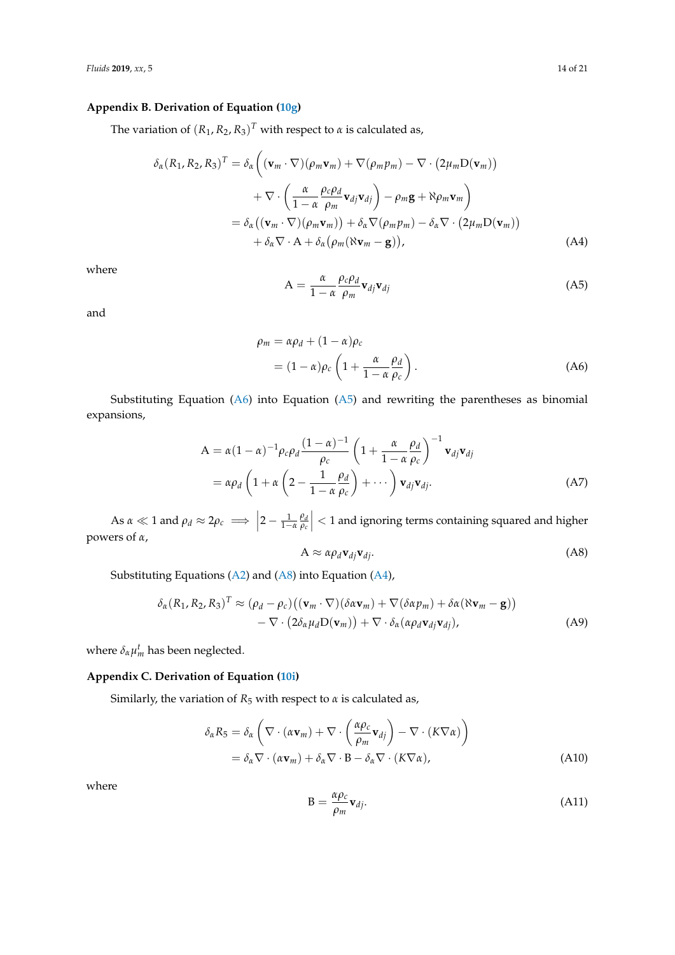## **Appendix B. Derivation of Equation [\(10g\)](#page-3-2)**

The variation of  $(R_1, R_2, R_3)^T$  with respect to  $\alpha$  is calculated as,

$$
\delta_{\alpha}(R_1, R_2, R_3)^T = \delta_{\alpha}\left((\mathbf{v}_m \cdot \nabla)(\rho_m \mathbf{v}_m) + \nabla(\rho_m p_m) - \nabla \cdot (2\mu_m D(\mathbf{v}_m))\right) \n+ \nabla \cdot \left(\frac{\alpha}{1 - \alpha} \frac{\rho_c \rho_d}{\rho_m} \mathbf{v}_{dj} \mathbf{v}_{dj}\right) - \rho_m \mathbf{g} + \aleph \rho_m \mathbf{v}_m\right) \n= \delta_{\alpha}\left((\mathbf{v}_m \cdot \nabla)(\rho_m \mathbf{v}_m)\right) + \delta_{\alpha} \nabla(\rho_m p_m) - \delta_{\alpha} \nabla \cdot (2\mu_m D(\mathbf{v}_m)) \n+ \delta_{\alpha} \nabla \cdot \mathbf{A} + \delta_{\alpha}(\rho_m(\aleph \mathbf{v}_m - \mathbf{g})),
$$
\n(A4)

where

$$
A = \frac{\alpha}{1 - \alpha} \frac{\rho_c \rho_d}{\rho_m} \mathbf{v}_{dj} \mathbf{v}_{dj}
$$
 (A5)

and

$$
\rho_m = \alpha \rho_d + (1 - \alpha) \rho_c
$$
  
=  $(1 - \alpha) \rho_c \left( 1 + \frac{\alpha}{1 - \alpha} \frac{\rho_d}{\rho_c} \right).$  (A6)

Substituting Equation  $(A6)$  into Equation  $(A5)$  and rewriting the parentheses as binomial expansions,

$$
A = \alpha (1 - \alpha)^{-1} \rho_c \rho_d \frac{(1 - \alpha)^{-1}}{\rho_c} \left( 1 + \frac{\alpha}{1 - \alpha} \frac{\rho_d}{\rho_c} \right)^{-1} \mathbf{v}_{dj} \mathbf{v}_{dj}
$$
  
=  $\alpha \rho_d \left( 1 + \alpha \left( 2 - \frac{1}{1 - \alpha} \frac{\rho_d}{\rho_c} \right) + \cdots \right) \mathbf{v}_{dj} \mathbf{v}_{dj}.$  (A7)

As  $\alpha \ll 1$  and  $\rho_d \approx 2\rho_c \implies \left| 2 - \frac{1}{1-\alpha} \frac{\rho_d}{\rho_c} \right|$ *ρc*  $\vert$  < 1 and ignoring terms containing squared and higher powers of *α*,

$$
A \approx \alpha \rho_d \mathbf{v}_{dj} \mathbf{v}_{dj}.
$$
 (A8)

Substituting Equations [\(A2\)](#page-2-4) and [\(A8\)](#page-3-5) into Equation [\(A4\)](#page-2-5),

$$
\delta_{\alpha}(R_1, R_2, R_3)^T \approx (\rho_d - \rho_c)((\mathbf{v}_m \cdot \nabla)(\delta \alpha \mathbf{v}_m) + \nabla (\delta \alpha p_m) + \delta \alpha (\aleph \mathbf{v}_m - \mathbf{g})) \n- \nabla \cdot (2 \delta_{\alpha} \mu_d \mathbf{D}(\mathbf{v}_m)) + \nabla \cdot \delta_{\alpha} (\alpha \rho_d \mathbf{v}_{dj} \mathbf{v}_{dj}),
$$
\n(A9)

where  $\delta_{\alpha} \mu_m^t$  has been neglected.

## <span id="page-13-0"></span>**Appendix C. Derivation of Equation [\(10i\)](#page-3-3)**

Similarly, the variation of  $R_5$  with respect to  $\alpha$  is calculated as,

$$
\delta_{\alpha} R_{5} = \delta_{\alpha} \left( \nabla \cdot (\alpha \mathbf{v}_{m}) + \nabla \cdot \left( \frac{\alpha \rho_{c}}{\rho_{m}} \mathbf{v}_{dj} \right) - \nabla \cdot (K \nabla \alpha) \right)
$$
  
=  $\delta_{\alpha} \nabla \cdot (\alpha \mathbf{v}_{m}) + \delta_{\alpha} \nabla \cdot \mathbf{B} - \delta_{\alpha} \nabla \cdot (K \nabla \alpha),$  (A10)

where

$$
B = \frac{\alpha \rho_c}{\rho_m} \mathbf{v}_{dj}.
$$
 (A11)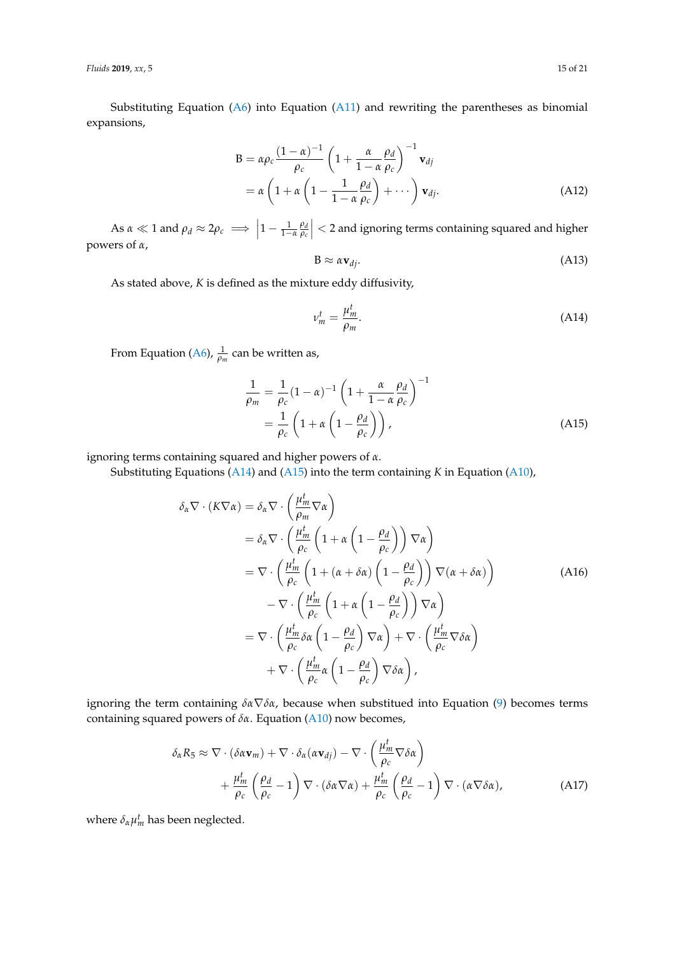Substituting Equation  $(A6)$  into Equation  $(A11)$  and rewriting the parentheses as binomial expansions,

$$
B = \alpha \rho_c \frac{(1 - \alpha)^{-1}}{\rho_c} \left( 1 + \frac{\alpha}{1 - \alpha} \frac{\rho_d}{\rho_c} \right)^{-1} \mathbf{v}_{dj}
$$
  
=  $\alpha \left( 1 + \alpha \left( 1 - \frac{1}{1 - \alpha} \frac{\rho_d}{\rho_c} \right) + \cdots \right) \mathbf{v}_{dj}.$  (A12)

As  $\alpha \ll 1$  and  $\rho_d \approx 2\rho_c \implies \left|1 - \frac{1}{1-\alpha} \frac{\rho_d}{\rho_c}\right|$ *ρc*  $\vert$  < 2 and ignoring terms containing squared and higher powers of *α*,

$$
B \approx \alpha \mathbf{v}_{dj}.\tag{A13}
$$

As stated above, *K* is defined as the mixture eddy diffusivity,

$$
\nu_m^t = \frac{\mu_m^t}{\rho_m}.\tag{A14}
$$

From Equation [\(A6\)](#page-2-2),  $\frac{1}{\rho_m}$  can be written as,

$$
\frac{1}{\rho_m} = \frac{1}{\rho_c} (1 - \alpha)^{-1} \left( 1 + \frac{\alpha}{1 - \alpha} \frac{\rho_d}{\rho_c} \right)^{-1}
$$

$$
= \frac{1}{\rho_c} \left( 1 + \alpha \left( 1 - \frac{\rho_d}{\rho_c} \right) \right), \tag{A15}
$$

ignoring terms containing squared and higher powers of *α*.

Substituting Equations [\(A14\)](#page-5-3) and [\(A15\)](#page-5-4) into the term containing *K* in Equation [\(A10\)](#page-3-6),

$$
\delta_{\alpha} \nabla \cdot (K \nabla \alpha) = \delta_{\alpha} \nabla \cdot \left(\frac{\mu_{m}^{t}}{\rho_{m}} \nabla \alpha\right)
$$
  
\n
$$
= \delta_{\alpha} \nabla \cdot \left(\frac{\mu_{m}^{t}}{\rho_{c}} \left(1 + \alpha \left(1 - \frac{\rho_{d}}{\rho_{c}}\right)\right) \nabla \alpha\right)
$$
  
\n
$$
= \nabla \cdot \left(\frac{\mu_{m}^{t}}{\rho_{c}} \left(1 + (\alpha + \delta \alpha) \left(1 - \frac{\rho_{d}}{\rho_{c}}\right)\right) \nabla (\alpha + \delta \alpha)\right)
$$
  
\n
$$
- \nabla \cdot \left(\frac{\mu_{m}^{t}}{\rho_{c}} \left(1 + \alpha \left(1 - \frac{\rho_{d}}{\rho_{c}}\right)\right) \nabla \alpha\right)
$$
  
\n
$$
= \nabla \cdot \left(\frac{\mu_{m}^{t}}{\rho_{c}} \delta \alpha \left(1 - \frac{\rho_{d}}{\rho_{c}}\right) \nabla \alpha\right) + \nabla \cdot \left(\frac{\mu_{m}^{t}}{\rho_{c}} \nabla \delta \alpha\right)
$$
  
\n
$$
+ \nabla \cdot \left(\frac{\mu_{m}^{t}}{\rho_{c}} \alpha \left(1 - \frac{\rho_{d}}{\rho_{c}}\right) \nabla \delta \alpha\right),
$$
\n(M16)

ignoring the term containing *δα*∇*δα*, because when substitued into Equation [\(9\)](#page-3-4) becomes terms containing squared powers of *δα*. Equation [\(A10\)](#page-3-6) now becomes,

$$
\delta_{\alpha} R_{5} \approx \nabla \cdot (\delta \alpha \mathbf{v}_{m}) + \nabla \cdot \delta_{\alpha} (\alpha \mathbf{v}_{dj}) - \nabla \cdot \left(\frac{\mu_{m}^{t}}{\rho_{c}} \nabla \delta \alpha\right) + \frac{\mu_{m}^{t}}{\rho_{c}} \left(\frac{\rho_{d}}{\rho_{c}} - 1\right) \nabla \cdot (\delta \alpha \nabla \alpha) + \frac{\mu_{m}^{t}}{\rho_{c}} \left(\frac{\rho_{d}}{\rho_{c}} - 1\right) \nabla \cdot (\alpha \nabla \delta \alpha),
$$
(A17)

where  $\delta_{\alpha} \mu_m^t$  has been neglected.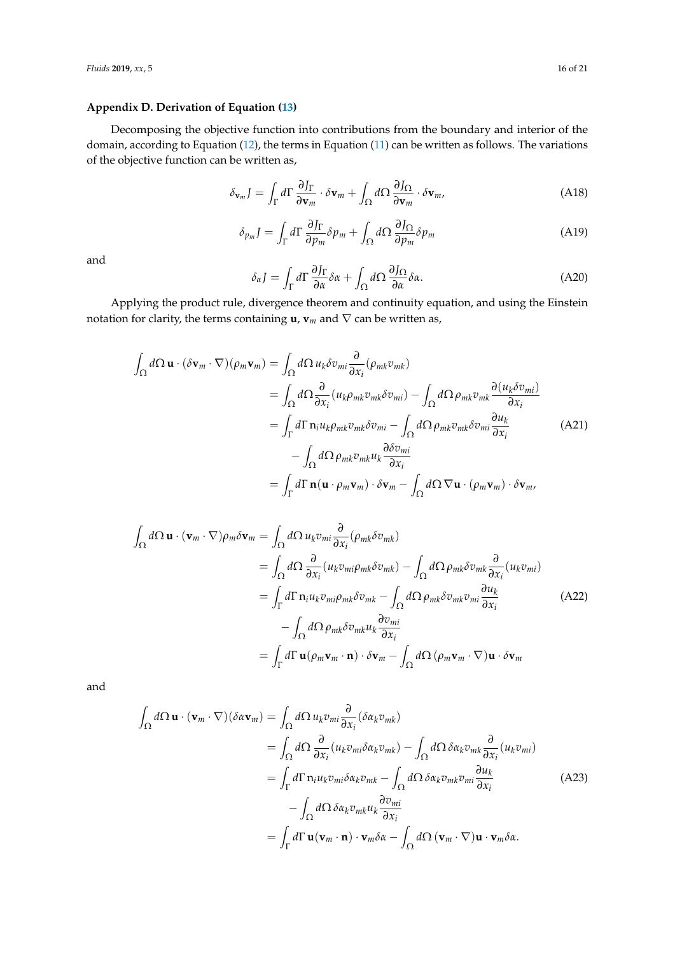## <span id="page-15-0"></span>**Appendix D. Derivation of Equation [\(13\)](#page-4-1)**

Decomposing the objective function into contributions from the boundary and interior of the domain, according to Equation [\(12\)](#page-4-2), the terms in Equation [\(11\)](#page-4-0) can be written as follows. The variations of the objective function can be written as,

$$
\delta_{\mathbf{v}_m} J = \int_{\Gamma} d\Gamma \, \frac{\partial J_{\Gamma}}{\partial \mathbf{v}_m} \cdot \delta \mathbf{v}_m + \int_{\Omega} d\Omega \, \frac{\partial J_{\Omega}}{\partial \mathbf{v}_m} \cdot \delta \mathbf{v}_m, \tag{A18}
$$

$$
\delta_{p_m} J = \int_{\Gamma} d\Gamma \, \frac{\partial J_{\Gamma}}{\partial p_m} \delta p_m + \int_{\Omega} d\Omega \, \frac{\partial J_{\Omega}}{\partial p_m} \delta p_m \tag{A19}
$$

and

$$
\delta_{\alpha}J = \int_{\Gamma} d\Gamma \, \frac{\partial J_{\Gamma}}{\partial \alpha} \delta \alpha + \int_{\Omega} d\Omega \, \frac{\partial J_{\Omega}}{\partial \alpha} \delta \alpha. \tag{A20}
$$

Applying the product rule, divergence theorem and continuity equation, and using the Einstein notation for clarity, the terms containing  $\mathbf{u}$ ,  $\mathbf{v}_m$  and  $\nabla$  can be written as,

$$
\int_{\Omega} d\Omega \mathbf{u} \cdot (\delta \mathbf{v}_{m} \cdot \nabla) (\rho_{m} \mathbf{v}_{m}) = \int_{\Omega} d\Omega u_{k} \delta v_{mi} \frac{\partial}{\partial x_{i}} (\rho_{mk} v_{mk})
$$
\n
$$
= \int_{\Omega} d\Omega \frac{\partial}{\partial x_{i}} (u_{k} \rho_{mk} v_{mk} \delta v_{mi}) - \int_{\Omega} d\Omega \rho_{mk} v_{mk} \frac{\partial (u_{k} \delta v_{mi})}{\partial x_{i}}
$$
\n
$$
= \int_{\Gamma} d\Gamma \mathbf{n}_{i} u_{k} \rho_{mk} v_{mk} \delta v_{mi} - \int_{\Omega} d\Omega \rho_{mk} v_{mk} \delta v_{mi} \frac{\partial u_{k}}{\partial x_{i}}
$$
\n
$$
- \int_{\Omega} d\Omega \rho_{mk} v_{mk} u_{k} \frac{\partial \delta v_{mi}}{\partial x_{i}}
$$
\n
$$
= \int_{\Gamma} d\Gamma \mathbf{n} (\mathbf{u} \cdot \rho_{m} \mathbf{v}_{m}) \cdot \delta \mathbf{v}_{m} - \int_{\Omega} d\Omega \nabla \mathbf{u} \cdot (\rho_{m} \mathbf{v}_{m}) \cdot \delta \mathbf{v}_{m},
$$
\n(A21)

$$
\int_{\Omega} d\Omega \mathbf{u} \cdot (\mathbf{v}_{m} \cdot \nabla) \rho_{m} \delta \mathbf{v}_{m} = \int_{\Omega} d\Omega u_{k} v_{mi} \frac{\partial}{\partial x_{i}} (\rho_{mk} \delta v_{mk})
$$
\n
$$
= \int_{\Omega} d\Omega \frac{\partial}{\partial x_{i}} (u_{k} v_{mi} \rho_{mk} \delta v_{mk}) - \int_{\Omega} d\Omega \rho_{mk} \delta v_{mk} \frac{\partial}{\partial x_{i}} (u_{k} v_{mi})
$$
\n
$$
= \int_{\Gamma} d\Gamma \mathbf{n}_{i} u_{k} v_{mi} \rho_{mk} \delta v_{mk} - \int_{\Omega} d\Omega \rho_{mk} \delta v_{mk} v_{mi} \frac{\partial u_{k}}{\partial x_{i}}
$$
\n
$$
- \int_{\Omega} d\Omega \rho_{mk} \delta v_{mk} u_{k} \frac{\partial v_{mi}}{\partial x_{i}}
$$
\n
$$
= \int_{\Gamma} d\Gamma \mathbf{u} (\rho_{m} \mathbf{v}_{m} \cdot \mathbf{n}) \cdot \delta \mathbf{v}_{m} - \int_{\Omega} d\Omega (\rho_{m} \mathbf{v}_{m} \cdot \nabla) \mathbf{u} \cdot \delta \mathbf{v}_{m}
$$
\n(A22)

and

$$
\int_{\Omega} d\Omega \mathbf{u} \cdot (\mathbf{v}_{m} \cdot \nabla)(\delta \alpha \mathbf{v}_{m}) = \int_{\Omega} d\Omega u_{k} v_{mi} \frac{\partial}{\partial x_{i}} (\delta \alpha_{k} v_{mk})
$$
\n
$$
= \int_{\Omega} d\Omega \frac{\partial}{\partial x_{i}} (u_{k} v_{mi} \delta \alpha_{k} v_{mk}) - \int_{\Omega} d\Omega \delta \alpha_{k} v_{mk} \frac{\partial}{\partial x_{i}} (u_{k} v_{mi})
$$
\n
$$
= \int_{\Gamma} d\Gamma \mathbf{n}_{i} u_{k} v_{mi} \delta \alpha_{k} v_{mk} - \int_{\Omega} d\Omega \delta \alpha_{k} v_{mk} v_{mi} \frac{\partial u_{k}}{\partial x_{i}}
$$
\n
$$
- \int_{\Omega} d\Omega \delta \alpha_{k} v_{mk} u_{k} \frac{\partial v_{mi}}{\partial x_{i}}
$$
\n
$$
= \int_{\Gamma} d\Gamma \mathbf{u} (\mathbf{v}_{m} \cdot \mathbf{n}) \cdot \mathbf{v}_{m} \delta \alpha - \int_{\Omega} d\Omega (\mathbf{v}_{m} \cdot \nabla) \mathbf{u} \cdot \mathbf{v}_{m} \delta \alpha.
$$
\n(A23)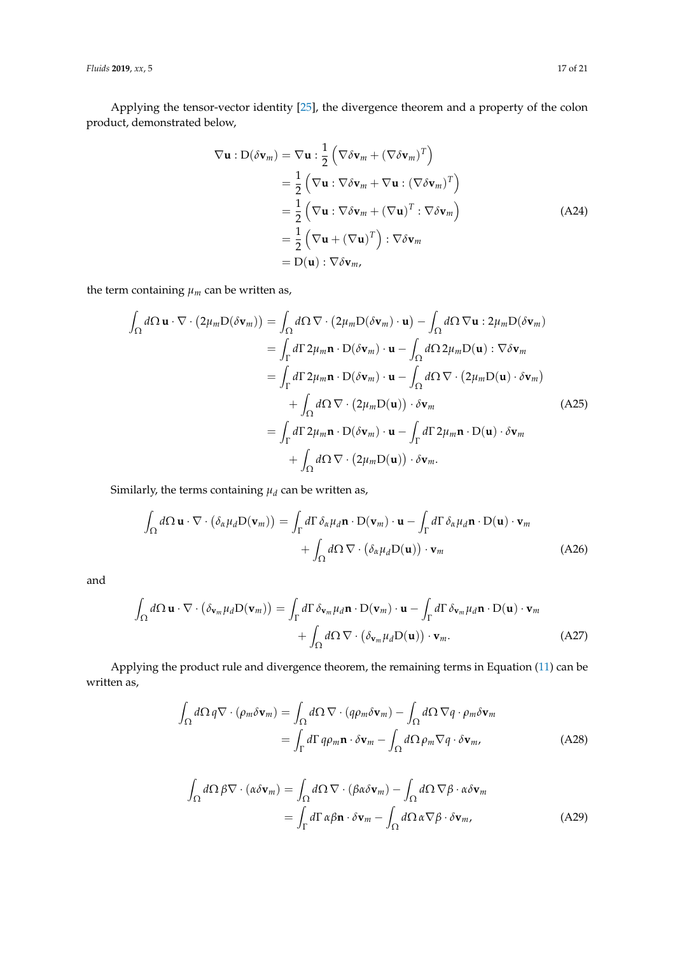*Fluids* **2019**, *xx*, 5 17 of 21

Applying the tensor-vector identity [\[25\]](#page-20-3), the divergence theorem and a property of the colon product, demonstrated below,

$$
\nabla \mathbf{u} : D(\delta \mathbf{v}_m) = \nabla \mathbf{u} : \frac{1}{2} \left( \nabla \delta \mathbf{v}_m + (\nabla \delta \mathbf{v}_m)^T \right)
$$
  
\n
$$
= \frac{1}{2} \left( \nabla \mathbf{u} : \nabla \delta \mathbf{v}_m + \nabla \mathbf{u} : (\nabla \delta \mathbf{v}_m)^T \right)
$$
  
\n
$$
= \frac{1}{2} \left( \nabla \mathbf{u} : \nabla \delta \mathbf{v}_m + (\nabla \mathbf{u})^T : \nabla \delta \mathbf{v}_m \right)
$$
  
\n
$$
= \frac{1}{2} \left( \nabla \mathbf{u} + (\nabla \mathbf{u})^T \right) : \nabla \delta \mathbf{v}_m
$$
  
\n
$$
= D(\mathbf{u}) : \nabla \delta \mathbf{v}_m,
$$
 (A24)

the term containing  $\mu_m$  can be written as,

$$
\int_{\Omega} d\Omega \mathbf{u} \cdot \nabla \cdot (2\mu_m \mathbf{D}(\delta \mathbf{v}_m)) = \int_{\Omega} d\Omega \nabla \cdot (2\mu_m \mathbf{D}(\delta \mathbf{v}_m) \cdot \mathbf{u}) - \int_{\Omega} d\Omega \nabla \mathbf{u} : 2\mu_m \mathbf{D}(\delta \mathbf{v}_m)
$$
\n
$$
= \int_{\Gamma} d\Gamma 2\mu_m \mathbf{n} \cdot \mathbf{D}(\delta \mathbf{v}_m) \cdot \mathbf{u} - \int_{\Omega} d\Omega 2\mu_m \mathbf{D}(\mathbf{u}) : \nabla \delta \mathbf{v}_m
$$
\n
$$
= \int_{\Gamma} d\Gamma 2\mu_m \mathbf{n} \cdot \mathbf{D}(\delta \mathbf{v}_m) \cdot \mathbf{u} - \int_{\Omega} d\Omega \nabla \cdot (2\mu_m \mathbf{D}(\mathbf{u}) \cdot \delta \mathbf{v}_m)
$$
\n
$$
+ \int_{\Omega} d\Omega \nabla \cdot (2\mu_m \mathbf{D}(\mathbf{u})) \cdot \delta \mathbf{v}_m
$$
\n
$$
= \int_{\Gamma} d\Gamma 2\mu_m \mathbf{n} \cdot \mathbf{D}(\delta \mathbf{v}_m) \cdot \mathbf{u} - \int_{\Gamma} d\Gamma 2\mu_m \mathbf{n} \cdot \mathbf{D}(\mathbf{u}) \cdot \delta \mathbf{v}_m
$$
\n
$$
+ \int_{\Omega} d\Omega \nabla \cdot (2\mu_m \mathbf{D}(\mathbf{u})) \cdot \delta \mathbf{v}_m.
$$
\n(A25)

Similarly, the terms containing  $\mu_d$  can be written as,

$$
\int_{\Omega} d\Omega \mathbf{u} \cdot \nabla \cdot (\delta_{\alpha} \mu_{d} \mathbf{D}(\mathbf{v}_{m})) = \int_{\Gamma} d\Gamma \, \delta_{\alpha} \mu_{d} \mathbf{n} \cdot \mathbf{D}(\mathbf{v}_{m}) \cdot \mathbf{u} - \int_{\Gamma} d\Gamma \, \delta_{\alpha} \mu_{d} \mathbf{n} \cdot \mathbf{D}(\mathbf{u}) \cdot \mathbf{v}_{m} + \int_{\Omega} d\Omega \, \nabla \cdot (\delta_{\alpha} \mu_{d} \mathbf{D}(\mathbf{u})) \cdot \mathbf{v}_{m}
$$
\n(A26)

and

$$
\int_{\Omega} d\Omega \mathbf{u} \cdot \nabla \cdot (\delta_{\mathbf{v}_m} \mu_d \mathbf{D}(\mathbf{v}_m)) = \int_{\Gamma} d\Gamma \, \delta_{\mathbf{v}_m} \mu_d \mathbf{n} \cdot \mathbf{D}(\mathbf{v}_m) \cdot \mathbf{u} - \int_{\Gamma} d\Gamma \, \delta_{\mathbf{v}_m} \mu_d \mathbf{n} \cdot \mathbf{D}(\mathbf{u}) \cdot \mathbf{v}_m
$$
\n
$$
+ \int_{\Omega} d\Omega \, \nabla \cdot (\delta_{\mathbf{v}_m} \mu_d \mathbf{D}(\mathbf{u})) \cdot \mathbf{v}_m. \tag{A27}
$$

Applying the product rule and divergence theorem, the remaining terms in Equation [\(11\)](#page-4-0) can be written as,

$$
\int_{\Omega} d\Omega \, q \nabla \cdot (\rho_m \delta \mathbf{v}_m) = \int_{\Omega} d\Omega \, \nabla \cdot (q \rho_m \delta \mathbf{v}_m) - \int_{\Omega} d\Omega \, \nabla q \cdot \rho_m \delta \mathbf{v}_m
$$
\n
$$
= \int_{\Gamma} d\Gamma \, q \rho_m \mathbf{n} \cdot \delta \mathbf{v}_m - \int_{\Omega} d\Omega \, \rho_m \nabla q \cdot \delta \mathbf{v}_m, \tag{A28}
$$

$$
\int_{\Omega} d\Omega \beta \nabla \cdot (\alpha \delta \mathbf{v}_{m}) = \int_{\Omega} d\Omega \nabla \cdot (\beta \alpha \delta \mathbf{v}_{m}) - \int_{\Omega} d\Omega \nabla \beta \cdot \alpha \delta \mathbf{v}_{m}
$$
\n
$$
= \int_{\Gamma} d\Gamma \alpha \beta \mathbf{n} \cdot \delta \mathbf{v}_{m} - \int_{\Omega} d\Omega \alpha \nabla \beta \cdot \delta \mathbf{v}_{m}, \tag{A29}
$$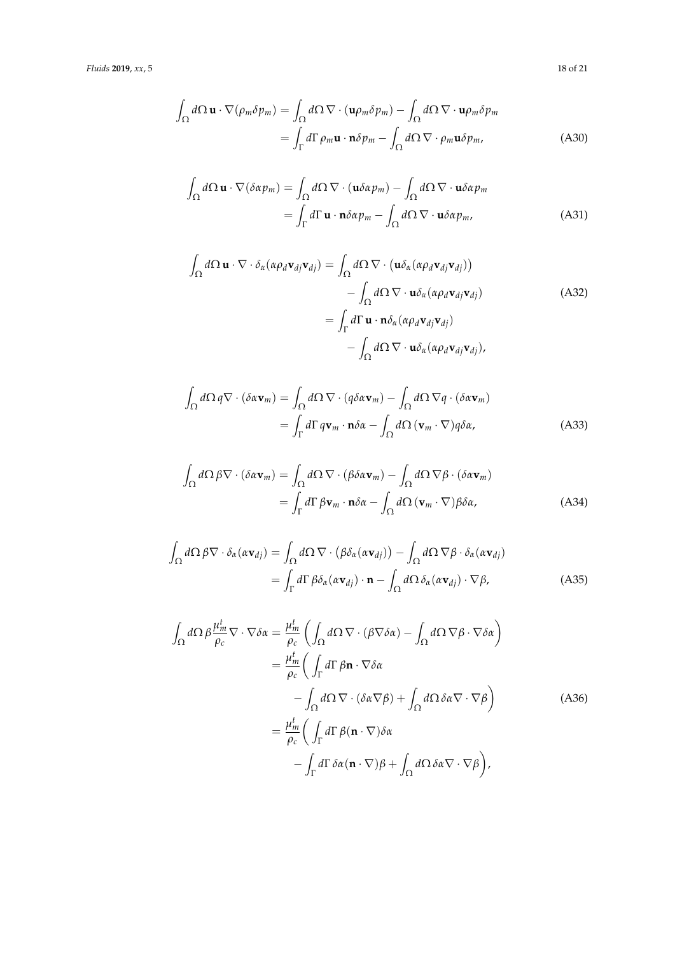*Fluids* **2019**, *xx*, 5 18 of 21

$$
\int_{\Omega} d\Omega \mathbf{u} \cdot \nabla (\rho_m \delta p_m) = \int_{\Omega} d\Omega \nabla \cdot (\mathbf{u} \rho_m \delta p_m) - \int_{\Omega} d\Omega \nabla \cdot \mathbf{u} \rho_m \delta p_m
$$
\n
$$
= \int_{\Gamma} d\Gamma \rho_m \mathbf{u} \cdot \mathbf{n} \delta p_m - \int_{\Omega} d\Omega \nabla \cdot \rho_m \mathbf{u} \delta p_m, \tag{A30}
$$

$$
\int_{\Omega} d\Omega \mathbf{u} \cdot \nabla (\delta \alpha p_m) = \int_{\Omega} d\Omega \nabla \cdot (\mathbf{u} \delta \alpha p_m) - \int_{\Omega} d\Omega \nabla \cdot \mathbf{u} \delta \alpha p_m
$$
\n
$$
= \int_{\Gamma} d\Gamma \mathbf{u} \cdot \mathbf{n} \delta \alpha p_m - \int_{\Omega} d\Omega \nabla \cdot \mathbf{u} \delta \alpha p_m, \tag{A31}
$$

$$
\int_{\Omega} d\Omega \mathbf{u} \cdot \nabla \cdot \delta_{\alpha} (\alpha \rho_d \mathbf{v}_{dj} \mathbf{v}_{dj}) = \int_{\Omega} d\Omega \nabla \cdot (\mathbf{u} \delta_{\alpha} (\alpha \rho_d \mathbf{v}_{dj} \mathbf{v}_{dj})) \n- \int_{\Omega} d\Omega \nabla \cdot \mathbf{u} \delta_{\alpha} (\alpha \rho_d \mathbf{v}_{dj} \mathbf{v}_{dj}) \n= \int_{\Gamma} d\Gamma \mathbf{u} \cdot \mathbf{n} \delta_{\alpha} (\alpha \rho_d \mathbf{v}_{dj} \mathbf{v}_{dj}) \n- \int_{\Omega} d\Omega \nabla \cdot \mathbf{u} \delta_{\alpha} (\alpha \rho_d \mathbf{v}_{dj} \mathbf{v}_{dj}),
$$
\n(A32)

$$
\int_{\Omega} d\Omega \, q \nabla \cdot (\delta \alpha \mathbf{v}_m) = \int_{\Omega} d\Omega \, \nabla \cdot (q \delta \alpha \mathbf{v}_m) - \int_{\Omega} d\Omega \, \nabla q \cdot (\delta \alpha \mathbf{v}_m)
$$
\n
$$
= \int_{\Gamma} d\Gamma \, q \mathbf{v}_m \cdot \mathbf{n} \delta \alpha - \int_{\Omega} d\Omega \, (\mathbf{v}_m \cdot \nabla) q \delta \alpha, \tag{A33}
$$

$$
\int_{\Omega} d\Omega \beta \nabla \cdot (\delta \alpha \mathbf{v}_{m}) = \int_{\Omega} d\Omega \nabla \cdot (\beta \delta \alpha \mathbf{v}_{m}) - \int_{\Omega} d\Omega \nabla \beta \cdot (\delta \alpha \mathbf{v}_{m})
$$
\n
$$
= \int_{\Gamma} d\Gamma \beta \mathbf{v}_{m} \cdot \mathbf{n} \delta \alpha - \int_{\Omega} d\Omega (\mathbf{v}_{m} \cdot \nabla) \beta \delta \alpha, \tag{A34}
$$

$$
\int_{\Omega} d\Omega \beta \nabla \cdot \delta_{\alpha}(\alpha \mathbf{v}_{dj}) = \int_{\Omega} d\Omega \nabla \cdot (\beta \delta_{\alpha}(\alpha \mathbf{v}_{dj})) - \int_{\Omega} d\Omega \nabla \beta \cdot \delta_{\alpha}(\alpha \mathbf{v}_{dj})
$$
\n
$$
= \int_{\Gamma} d\Gamma \beta \delta_{\alpha}(\alpha \mathbf{v}_{dj}) \cdot \mathbf{n} - \int_{\Omega} d\Omega \delta_{\alpha}(\alpha \mathbf{v}_{dj}) \cdot \nabla \beta,
$$
\n(A35)

$$
\int_{\Omega} d\Omega \beta \frac{\mu_m^t}{\rho_c} \nabla \cdot \nabla \delta \alpha = \frac{\mu_m^t}{\rho_c} \left( \int_{\Omega} d\Omega \nabla \cdot (\beta \nabla \delta \alpha) - \int_{\Omega} d\Omega \nabla \beta \cdot \nabla \delta \alpha \right)
$$

$$
= \frac{\mu_m^t}{\rho_c} \left( \int_{\Gamma} d\Gamma \beta \mathbf{n} \cdot \nabla \delta \alpha \right)
$$

$$
- \int_{\Omega} d\Omega \nabla \cdot (\delta \alpha \nabla \beta) + \int_{\Omega} d\Omega \delta \alpha \nabla \cdot \nabla \beta \right)
$$
(A36)
$$
= \frac{\mu_m^t}{\rho_c} \left( \int_{\Gamma} d\Gamma \beta (\mathbf{n} \cdot \nabla) \delta \alpha \right)
$$

$$
- \int_{\Gamma} d\Gamma \delta \alpha (\mathbf{n} \cdot \nabla) \beta + \int_{\Omega} d\Omega \delta \alpha \nabla \cdot \nabla \beta \right),
$$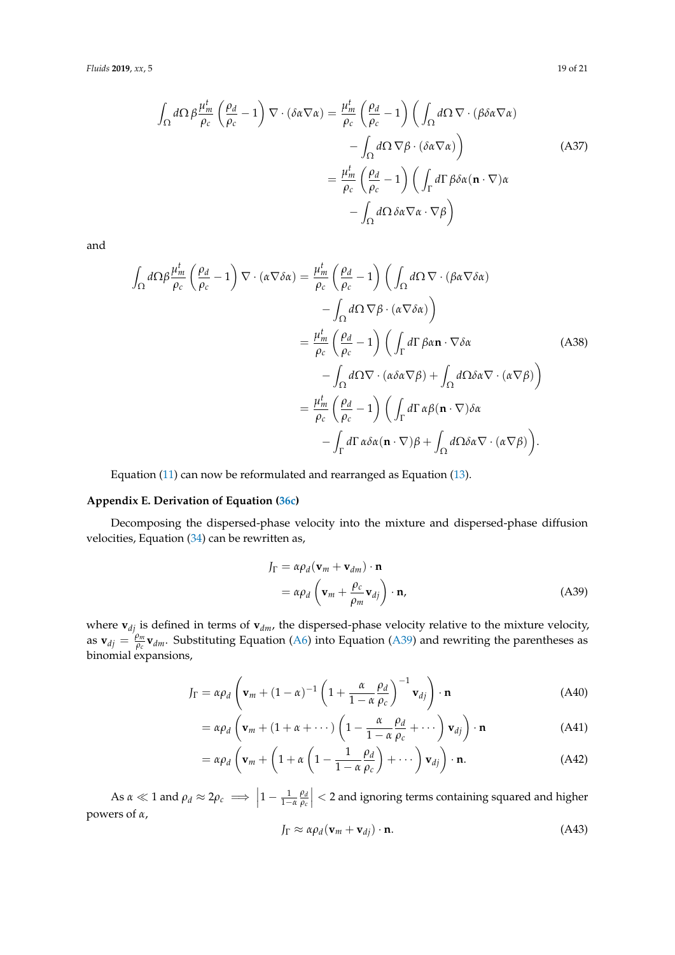$$
\int_{\Omega} d\Omega \beta \frac{\mu_m^t}{\rho_c} \left(\frac{\rho_d}{\rho_c} - 1\right) \nabla \cdot (\delta \alpha \nabla \alpha) = \frac{\mu_m^t}{\rho_c} \left(\frac{\rho_d}{\rho_c} - 1\right) \left(\int_{\Omega} d\Omega \nabla \cdot (\beta \delta \alpha \nabla \alpha)\right) \n- \int_{\Omega} d\Omega \nabla \beta \cdot (\delta \alpha \nabla \alpha)\right)
$$
\n(A37)  
\n
$$
= \frac{\mu_m^t}{\rho_c} \left(\frac{\rho_d}{\rho_c} - 1\right) \left(\int_{\Gamma} d\Gamma \beta \delta \alpha (\mathbf{n} \cdot \nabla) \alpha \right) \n- \int_{\Omega} d\Omega \delta \alpha \nabla \alpha \cdot \nabla \beta
$$

and

$$
\int_{\Omega} d\Omega \beta \frac{\mu_m^t}{\rho_c} \left(\frac{\rho_d}{\rho_c} - 1\right) \nabla \cdot (\alpha \nabla \delta \alpha) = \frac{\mu_m^t}{\rho_c} \left(\frac{\rho_d}{\rho_c} - 1\right) \left(\int_{\Omega} d\Omega \nabla \cdot (\beta \alpha \nabla \delta \alpha)\right)
$$

$$
- \int_{\Omega} d\Omega \nabla \beta \cdot (\alpha \nabla \delta \alpha)\right)
$$

$$
= \frac{\mu_m^t}{\rho_c} \left(\frac{\rho_d}{\rho_c} - 1\right) \left(\int_{\Gamma} d\Gamma \beta \alpha \mathbf{n} \cdot \nabla \delta \alpha \right)
$$

$$
- \int_{\Omega} d\Omega \nabla \cdot (\alpha \delta \alpha \nabla \beta) + \int_{\Omega} d\Omega \delta \alpha \nabla \cdot (\alpha \nabla \beta)\right)
$$

$$
= \frac{\mu_m^t}{\rho_c} \left(\frac{\rho_d}{\rho_c} - 1\right) \left(\int_{\Gamma} d\Gamma \alpha \beta (\mathbf{n} \cdot \nabla) \delta \alpha \right)
$$

$$
- \int_{\Gamma} d\Gamma \alpha \delta \alpha (\mathbf{n} \cdot \nabla) \beta + \int_{\Omega} d\Omega \delta \alpha \nabla \cdot (\alpha \nabla \beta)\right).
$$
(A)

Equation [\(11\)](#page-4-0) can now be reformulated and rearranged as Equation [\(13\)](#page-4-1).

## <span id="page-18-0"></span>**Appendix E. Derivation of Equation [\(36c\)](#page-10-2)**

Decomposing the dispersed-phase velocity into the mixture and dispersed-phase diffusion velocities, Equation [\(34\)](#page-10-1) can be rewritten as,

$$
J_{\Gamma} = \alpha \rho_d (\mathbf{v}_m + \mathbf{v}_{dm}) \cdot \mathbf{n}
$$
  
=  $\alpha \rho_d \left( \mathbf{v}_m + \frac{\rho_c}{\rho_m} \mathbf{v}_{dj} \right) \cdot \mathbf{n},$  (A39)

where **v***dj* is defined in terms of **v***dm*, the dispersed-phase velocity relative to the mixture velocity, as  $\mathbf{v}_{dj} = \frac{\rho_m}{\rho_c}$  $\mathbf{v}_{\theta c}$  **v**<sub>*dm*</sub>. Substituting Equation [\(A6\)](#page-2-2) into Equation [\(A39\)](#page-11-5) and rewriting the parentheses as binomial expansions,

$$
J_{\Gamma} = \alpha \rho_d \left( \mathbf{v}_m + (1 - \alpha)^{-1} \left( 1 + \frac{\alpha}{1 - \alpha} \frac{\rho_d}{\rho_c} \right)^{-1} \mathbf{v}_{dj} \right) \cdot \mathbf{n}
$$
 (A40)

$$
= \alpha \rho_d \left( \mathbf{v}_m + (1 + \alpha + \cdots) \left( 1 - \frac{\alpha}{1 - \alpha} \frac{\rho_d}{\rho_c} + \cdots \right) \mathbf{v}_{dj} \right) \cdot \mathbf{n}
$$
 (A41)

$$
= \alpha \rho_d \left( \mathbf{v}_m + \left( 1 + \alpha \left( 1 - \frac{1}{1 - \alpha} \frac{\rho_d}{\rho_c} \right) + \cdots \right) \mathbf{v}_{dj} \right) \cdot \mathbf{n}.
$$
 (A42)

As  $\alpha \ll 1$  and  $\rho_d \approx 2\rho_c \implies \left|1 - \frac{1}{1-\alpha} \frac{\rho_d}{\rho_c}\right|$ *ρc*  $\vert$  < 2 and ignoring terms containing squared and higher powers of *α*,

$$
J_{\Gamma} \approx \alpha \rho_d (\mathbf{v}_m + \mathbf{v}_{dj}) \cdot \mathbf{n}.
$$
 (A43)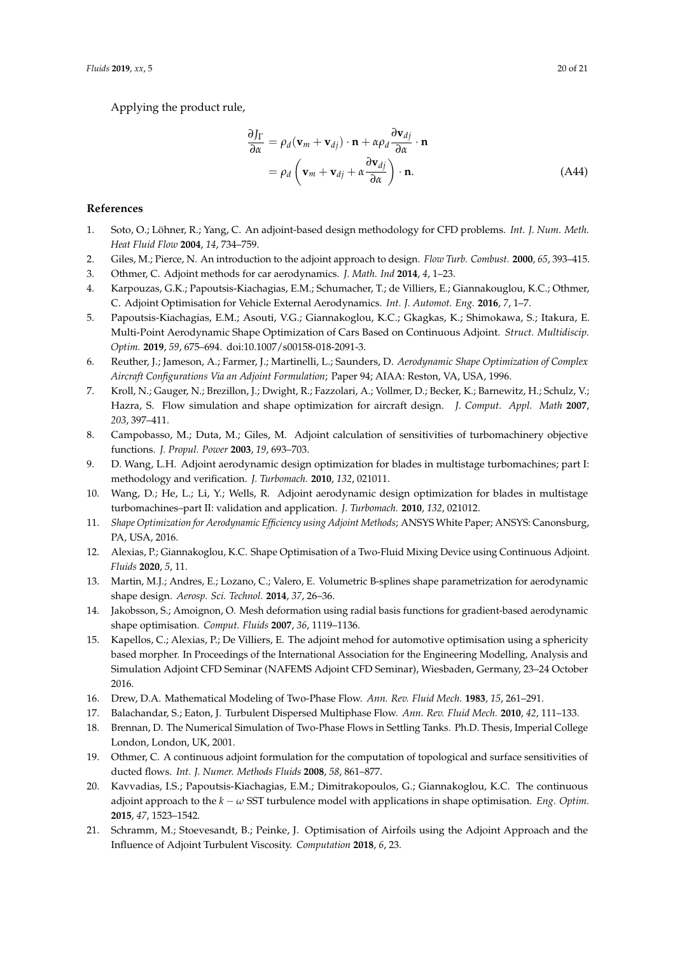Applying the product rule,

$$
\frac{\partial J_{\Gamma}}{\partial \alpha} = \rho_d (\mathbf{v}_m + \mathbf{v}_{dj}) \cdot \mathbf{n} + \alpha \rho_d \frac{\partial \mathbf{v}_{dj}}{\partial \alpha} \cdot \mathbf{n}
$$
  
=  $\rho_d (\mathbf{v}_m + \mathbf{v}_{dj} + \alpha \frac{\partial \mathbf{v}_{dj}}{\partial \alpha}) \cdot \mathbf{n}.$  (A44)

## **References**

- <span id="page-19-0"></span>1. Soto, O.; Löhner, R.; Yang, C. An adjoint-based design methodology for CFD problems. *Int. J. Num. Meth. Heat Fluid Flow* **2004**, *14*, 734–759.
- <span id="page-19-1"></span>2. Giles, M.; Pierce, N. An introduction to the adjoint approach to design. *Flow Turb. Combust.* **2000**, *65*, 393–415.
- <span id="page-19-2"></span>3. Othmer, C. Adjoint methods for car aerodynamics. *J. Math. Ind* **2014**, *4*, 1–23.
- <span id="page-19-9"></span>4. Karpouzas, G.K.; Papoutsis-Kiachagias, E.M.; Schumacher, T.; de Villiers, E.; Giannakouglou, K.C.; Othmer, C. Adjoint Optimisation for Vehicle External Aerodynamics. *Int. J. Automot. Eng.* **2016**, *7*, 1–7.
- <span id="page-19-3"></span>5. Papoutsis-Kiachagias, E.M.; Asouti, V.G.; Giannakoglou, K.C.; Gkagkas, K.; Shimokawa, S.; Itakura, E. Multi-Point Aerodynamic Shape Optimization of Cars Based on Continuous Adjoint. *Struct. Multidiscip. Optim.* **2019**, *59*, 675–694. doi[:10.1007/s00158-018-2091-3.](https://doi.org/10.1007/s00158-018-2091-3)
- <span id="page-19-4"></span>6. Reuther, J.; Jameson, A.; Farmer, J.; Martinelli, L.; Saunders, D. *Aerodynamic Shape Optimization of Complex Aircraft Configurations Via an Adjoint Formulation*; Paper 94; AIAA: Reston, VA, USA, 1996.
- <span id="page-19-5"></span>7. Kroll, N.; Gauger, N.; Brezillon, J.; Dwight, R.; Fazzolari, A.; Vollmer, D.; Becker, K.; Barnewitz, H.; Schulz, V.; Hazra, S. Flow simulation and shape optimization for aircraft design. *J. Comput. Appl. Math* **2007**, *203*, 397–411.
- <span id="page-19-6"></span>8. Campobasso, M.; Duta, M.; Giles, M. Adjoint calculation of sensitivities of turbomachinery objective functions. *J. Propul. Power* **2003**, *19*, 693–703.
- 9. D. Wang, L.H. Adjoint aerodynamic design optimization for blades in multistage turbomachines; part I: methodology and verification. *J. Turbomach.* **2010**, *132*, 021011.
- <span id="page-19-7"></span>10. Wang, D.; He, L.; Li, Y.; Wells, R. Adjoint aerodynamic design optimization for blades in multistage turbomachines–part II: validation and application. *J. Turbomach.* **2010**, *132*, 021012.
- <span id="page-19-8"></span>11. *Shape Optimization for Aerodynamic Efficiency using Adjoint Methods*; ANSYS White Paper; ANSYS: Canonsburg, PA, USA, 2016.
- <span id="page-19-10"></span>12. Alexias, P.; Giannakoglou, K.C. Shape Optimisation of a Two-Fluid Mixing Device using Continuous Adjoint. *Fluids* **2020**, *5*, 11.
- <span id="page-19-11"></span>13. Martin, M.J.; Andres, E.; Lozano, C.; Valero, E. Volumetric B-splines shape parametrization for aerodynamic shape design. *Aerosp. Sci. Technol.* **2014**, *37*, 26–36.
- <span id="page-19-12"></span>14. Jakobsson, S.; Amoignon, O. Mesh deformation using radial basis functions for gradient-based aerodynamic shape optimisation. *Comput. Fluids* **2007**, *36*, 1119–1136.
- <span id="page-19-13"></span>15. Kapellos, C.; Alexias, P.; De Villiers, E. The adjoint mehod for automotive optimisation using a sphericity based morpher. In Proceedings of the International Association for the Engineering Modelling, Analysis and Simulation Adjoint CFD Seminar (NAFEMS Adjoint CFD Seminar), Wiesbaden, Germany, 23–24 October 2016.
- <span id="page-19-14"></span>16. Drew, D.A. Mathematical Modeling of Two-Phase Flow. *Ann. Rev. Fluid Mech.* **1983**, *15*, 261–291.
- <span id="page-19-15"></span>17. Balachandar, S.; Eaton, J. Turbulent Dispersed Multiphase Flow. *Ann. Rev. Fluid Mech.* **2010**, *42*, 111–133.
- <span id="page-19-16"></span>18. Brennan, D. The Numerical Simulation of Two-Phase Flows in Settling Tanks. Ph.D. Thesis, Imperial College London, London, UK, 2001.
- <span id="page-19-17"></span>19. Othmer, C. A continuous adjoint formulation for the computation of topological and surface sensitivities of ducted flows. *Int. J. Numer. Methods Fluids* **2008**, *58*, 861–877.
- <span id="page-19-18"></span>20. Kavvadias, I.S.; Papoutsis-Kiachagias, E.M.; Dimitrakopoulos, G.; Giannakoglou, K.C. The continuous adjoint approach to the *k* − *ω* SST turbulence model with applications in shape optimisation. *Eng. Optim.* **2015**, *47*, 1523–1542.
- <span id="page-19-19"></span>21. Schramm, M.; Stoevesandt, B.; Peinke, J. Optimisation of Airfoils using the Adjoint Approach and the Influence of Adjoint Turbulent Viscosity. *Computation* **2018**, *6*, 23.